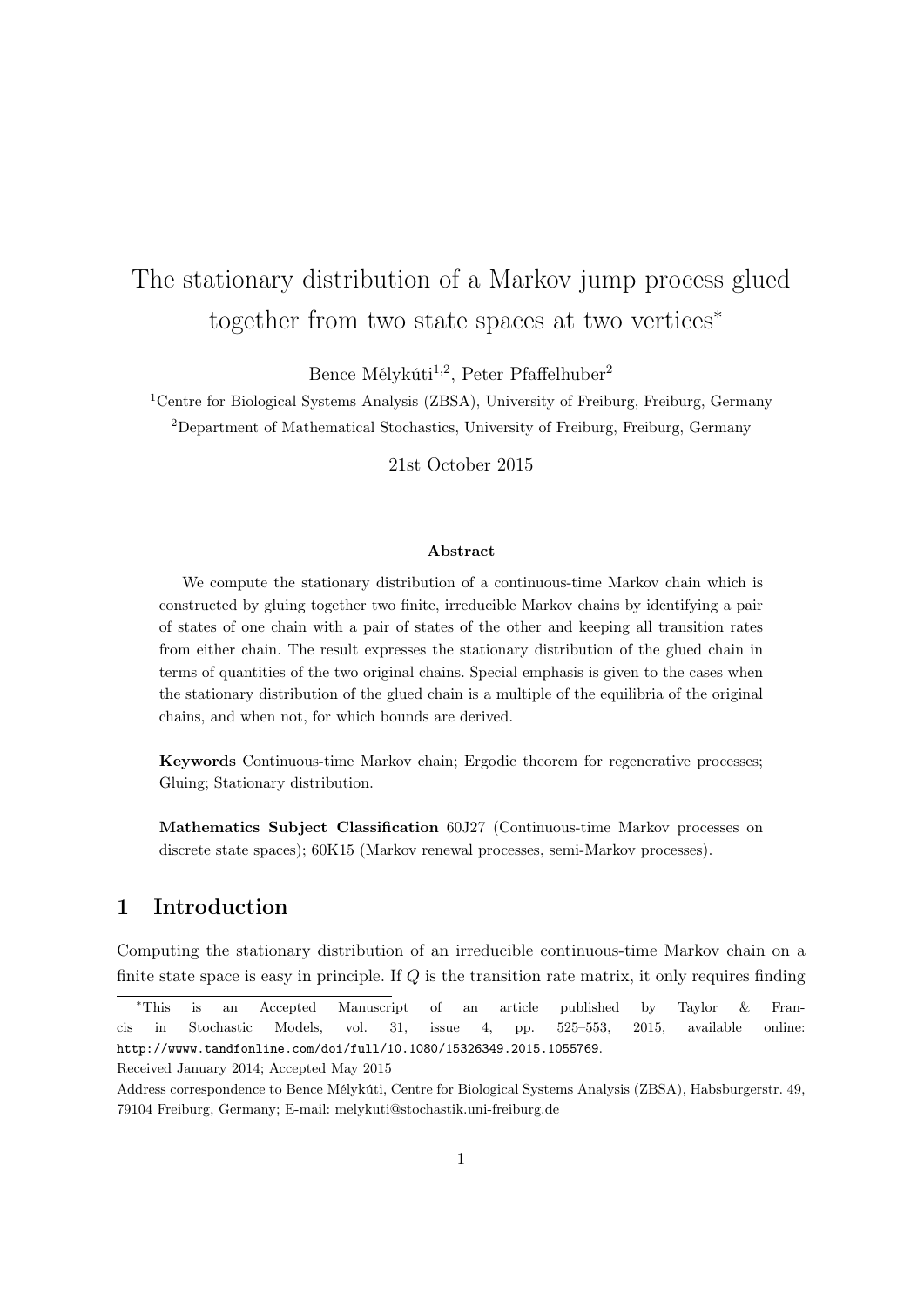# The stationary distribution of a Markov jump process glued together from two state spaces at two vertices<sup>∗</sup>

Bence Mélykúti<sup>1,2</sup>, Peter Pfaffelhuber<sup>2</sup>

<sup>1</sup>Centre for Biological Systems Analysis (ZBSA), University of Freiburg, Freiburg, Germany <sup>2</sup>Department of Mathematical Stochastics, University of Freiburg, Freiburg, Germany

21st October 2015

### Abstract

We compute the stationary distribution of a continuous-time Markov chain which is constructed by gluing together two finite, irreducible Markov chains by identifying a pair of states of one chain with a pair of states of the other and keeping all transition rates from either chain. The result expresses the stationary distribution of the glued chain in terms of quantities of the two original chains. Special emphasis is given to the cases when the stationary distribution of the glued chain is a multiple of the equilibria of the original chains, and when not, for which bounds are derived.

Keywords Continuous-time Markov chain; Ergodic theorem for regenerative processes; Gluing; Stationary distribution.

Mathematics Subject Classification 60J27 (Continuous-time Markov processes on discrete state spaces); 60K15 (Markov renewal processes, semi-Markov processes).

# 1 Introduction

Computing the stationary distribution of an irreducible continuous-time Markov chain on a finite state space is easy in principle. If Q is the transition rate matrix, it only requires finding

<sup>∗</sup>This is an Accepted Manuscript of an article published by Taylor & Francis in Stochastic Models, vol. 31, issue 4, pp. 525–553, 2015, available online: http://wwww.tandfonline.com/doi/full/10.1080/15326349.2015.1055769.

Received January 2014; Accepted May 2015

Address correspondence to Bence Mélykúti, Centre for Biological Systems Analysis (ZBSA), Habsburgerstr. 49, 79104 Freiburg, Germany; E-mail: melykuti@stochastik.uni-freiburg.de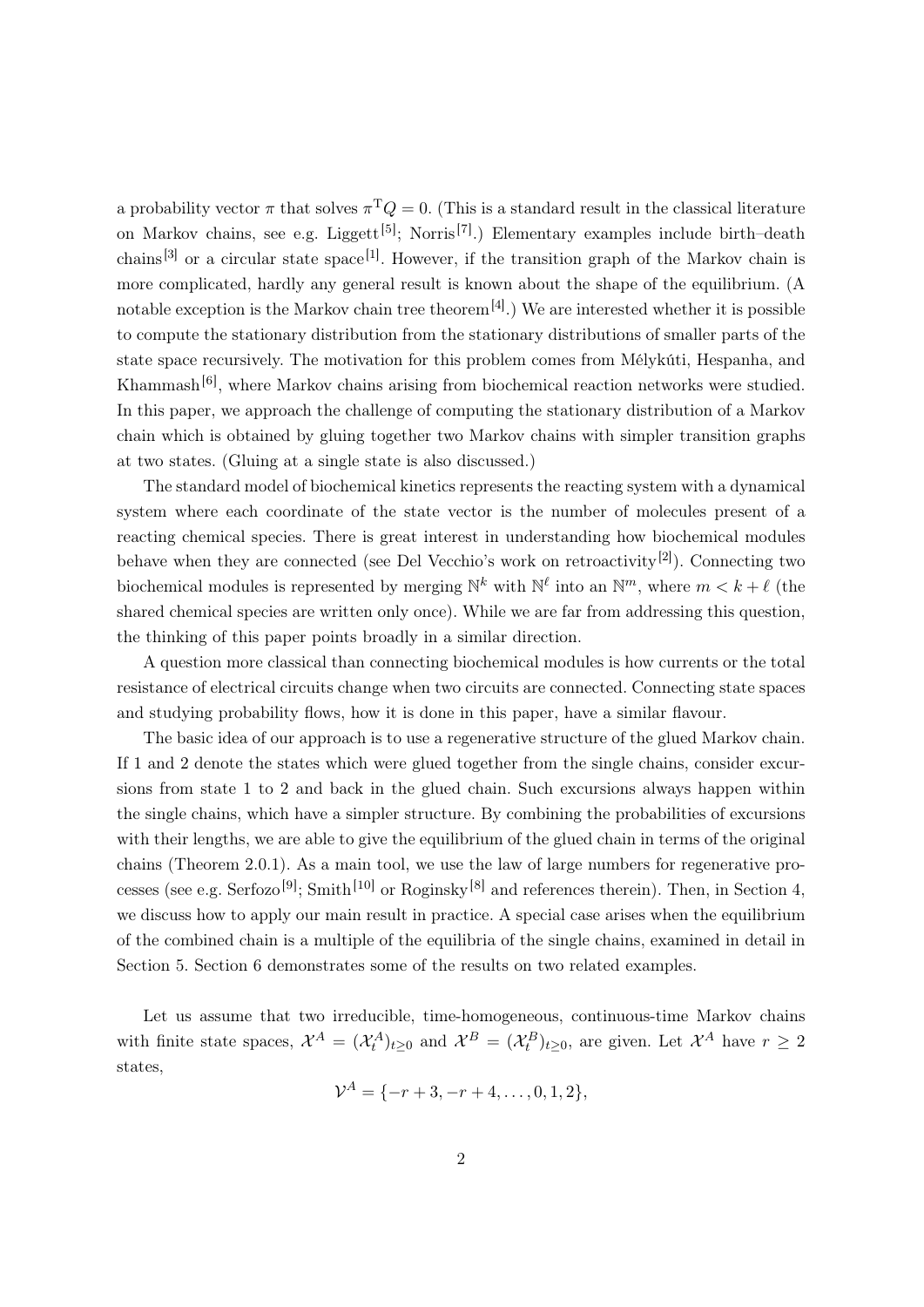a probability vector  $\pi$  that solves  $\pi^T Q = 0$ . (This is a standard result in the classical literature on Markov chains, see e.g. Liggett<sup>[5]</sup>; Norris<sup>[7]</sup>.) Elementary examples include birth-death chains<sup>[3]</sup> or a circular state space<sup>[1]</sup>. However, if the transition graph of the Markov chain is more complicated, hardly any general result is known about the shape of the equilibrium. (A notable exception is the Markov chain tree theorem<sup>[4]</sup>.) We are interested whether it is possible to compute the stationary distribution from the stationary distributions of smaller parts of the state space recursively. The motivation for this problem comes from Mélykúti, Hespanha, and Khammash<sup>[6]</sup>, where Markov chains arising from biochemical reaction networks were studied. In this paper, we approach the challenge of computing the stationary distribution of a Markov chain which is obtained by gluing together two Markov chains with simpler transition graphs at two states. (Gluing at a single state is also discussed.)

The standard model of biochemical kinetics represents the reacting system with a dynamical system where each coordinate of the state vector is the number of molecules present of a reacting chemical species. There is great interest in understanding how biochemical modules behave when they are connected (see Del Vecchio's work on retroactivity<sup>[2]</sup>). Connecting two biochemical modules is represented by merging  $\mathbb{N}^k$  with  $\mathbb{N}^\ell$  into an  $\mathbb{N}^m$ , where  $m < k + \ell$  (the shared chemical species are written only once). While we are far from addressing this question, the thinking of this paper points broadly in a similar direction.

A question more classical than connecting biochemical modules is how currents or the total resistance of electrical circuits change when two circuits are connected. Connecting state spaces and studying probability flows, how it is done in this paper, have a similar flavour.

The basic idea of our approach is to use a regenerative structure of the glued Markov chain. If 1 and 2 denote the states which were glued together from the single chains, consider excursions from state 1 to 2 and back in the glued chain. Such excursions always happen within the single chains, which have a simpler structure. By combining the probabilities of excursions with their lengths, we are able to give the equilibrium of the glued chain in terms of the original chains (Theorem 2.0.1). As a main tool, we use the law of large numbers for regenerative processes (see e.g. Serfozo<sup>[9]</sup>; Smith<sup>[10]</sup> or Roginsky<sup>[8]</sup> and references therein). Then, in Section 4, we discuss how to apply our main result in practice. A special case arises when the equilibrium of the combined chain is a multiple of the equilibria of the single chains, examined in detail in Section 5. Section 6 demonstrates some of the results on two related examples.

Let us assume that two irreducible, time-homogeneous, continuous-time Markov chains with finite state spaces,  $\mathcal{X}^A = (\mathcal{X}^A_t)_{t\geq 0}$  and  $\mathcal{X}^B = (\mathcal{X}^B_t)_{t\geq 0}$ , are given. Let  $\mathcal{X}^A$  have  $r \geq 2$ states,

$$
\mathcal{V}^A = \{-r+3, -r+4, \dots, 0, 1, 2\},\
$$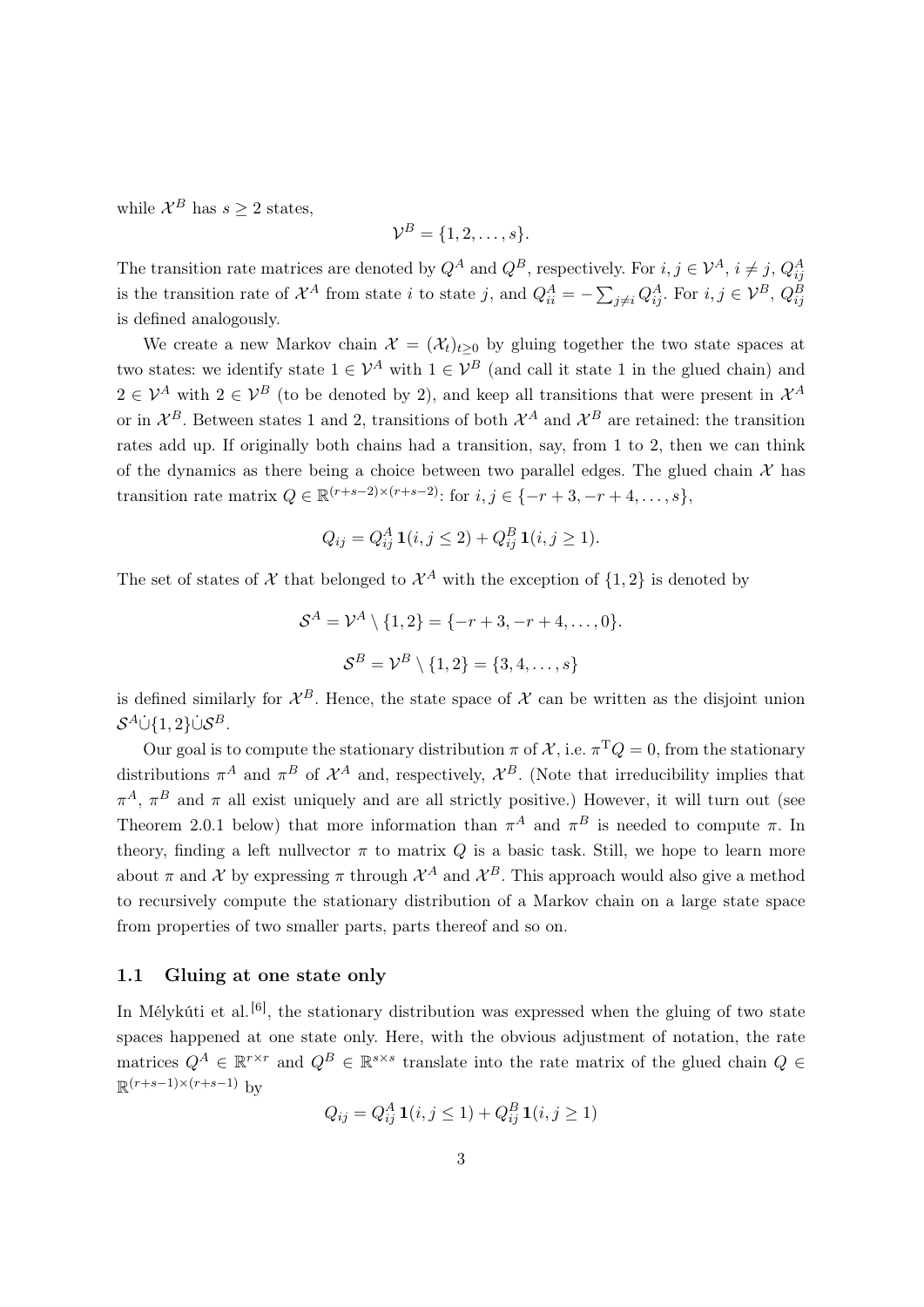while  $\mathcal{X}^B$  has  $s \geq 2$  states,

$$
\mathcal{V}^B = \{1, 2, \ldots, s\}.
$$

The transition rate matrices are denoted by  $Q^A$  and  $Q^B$ , respectively. For  $i, j \in \mathcal{V}^A$ ,  $i \neq j$ ,  $Q^A_{ij}$ is the transition rate of  $\mathcal{X}^A$  from state i to state j, and  $Q_{ii}^A = -\sum_{j\neq i} Q_{ij}^A$ . For  $i, j \in \mathcal{V}^B$ ,  $Q_{ij}^B$ is defined analogously.

We create a new Markov chain  $\mathcal{X} = (\mathcal{X}_t)_{t>0}$  by gluing together the two state spaces at two states: we identify state  $1 \in \mathcal{V}^A$  with  $1 \in \mathcal{V}^B$  (and call it state 1 in the glued chain) and  $2 \in \mathcal{V}^A$  with  $2 \in \mathcal{V}^B$  (to be denoted by 2), and keep all transitions that were present in  $\mathcal{X}^A$ or in  $\mathcal{X}^B$ . Between states 1 and 2, transitions of both  $\mathcal{X}^A$  and  $\mathcal{X}^B$  are retained: the transition rates add up. If originally both chains had a transition, say, from 1 to 2, then we can think of the dynamics as there being a choice between two parallel edges. The glued chain  $\mathcal X$  has transition rate matrix  $Q \in \mathbb{R}^{(r+s-2)\times(r+s-2)}$ : for  $i, j \in \{-r+3, -r+4, \ldots, s\}$ ,

$$
Q_{ij} = Q_{ij}^{A} \mathbf{1}(i, j \leq 2) + Q_{ij}^{B} \mathbf{1}(i, j \geq 1).
$$

The set of states of X that belonged to  $\mathcal{X}^A$  with the exception of  $\{1,2\}$  is denoted by

$$
S^{A} = \mathcal{V}^{A} \setminus \{1, 2\} = \{-r + 3, -r + 4, \dots, 0\}.
$$

$$
S^{B} = \mathcal{V}^{B} \setminus \{1, 2\} = \{3, 4, \dots, s\}
$$

is defined similarly for  $\mathcal{X}^B$ . Hence, the state space of  $\mathcal X$  can be written as the disjoint union  $\mathcal{S}^A$ Ù $\{1,2\}$ Ù $\mathcal{S}^B.$ 

Our goal is to compute the stationary distribution  $\pi$  of  $\mathcal{X}$ , i.e.  $\pi^T Q = 0$ , from the stationary distributions  $\pi^A$  and  $\pi^B$  of  $\mathcal{X}^A$  and, respectively,  $\mathcal{X}^B$ . (Note that irreducibility implies that  $\pi^A$ ,  $\pi^B$  and  $\pi$  all exist uniquely and are all strictly positive.) However, it will turn out (see Theorem 2.0.1 below) that more information than  $\pi^A$  and  $\pi^B$  is needed to compute  $\pi$ . In theory, finding a left nullvector  $\pi$  to matrix Q is a basic task. Still, we hope to learn more about  $\pi$  and  $\mathcal X$  by expressing  $\pi$  through  $\mathcal X^A$  and  $\mathcal X^B$ . This approach would also give a method to recursively compute the stationary distribution of a Markov chain on a large state space from properties of two smaller parts, parts thereof and so on.

### 1.1 Gluing at one state only

In Mélykúti et al.<sup>[6]</sup>, the stationary distribution was expressed when the gluing of two state spaces happened at one state only. Here, with the obvious adjustment of notation, the rate matrices  $Q^A \in \mathbb{R}^{r \times r}$  and  $Q^B \in \mathbb{R}^{s \times s}$  translate into the rate matrix of the glued chain  $Q \in$  $\mathbb{R}^{(r+s-1)\times(r+s-1)}$  by

$$
Q_{ij} = Q_{ij}^{A} \mathbf{1}(i, j \le 1) + Q_{ij}^{B} \mathbf{1}(i, j \ge 1)
$$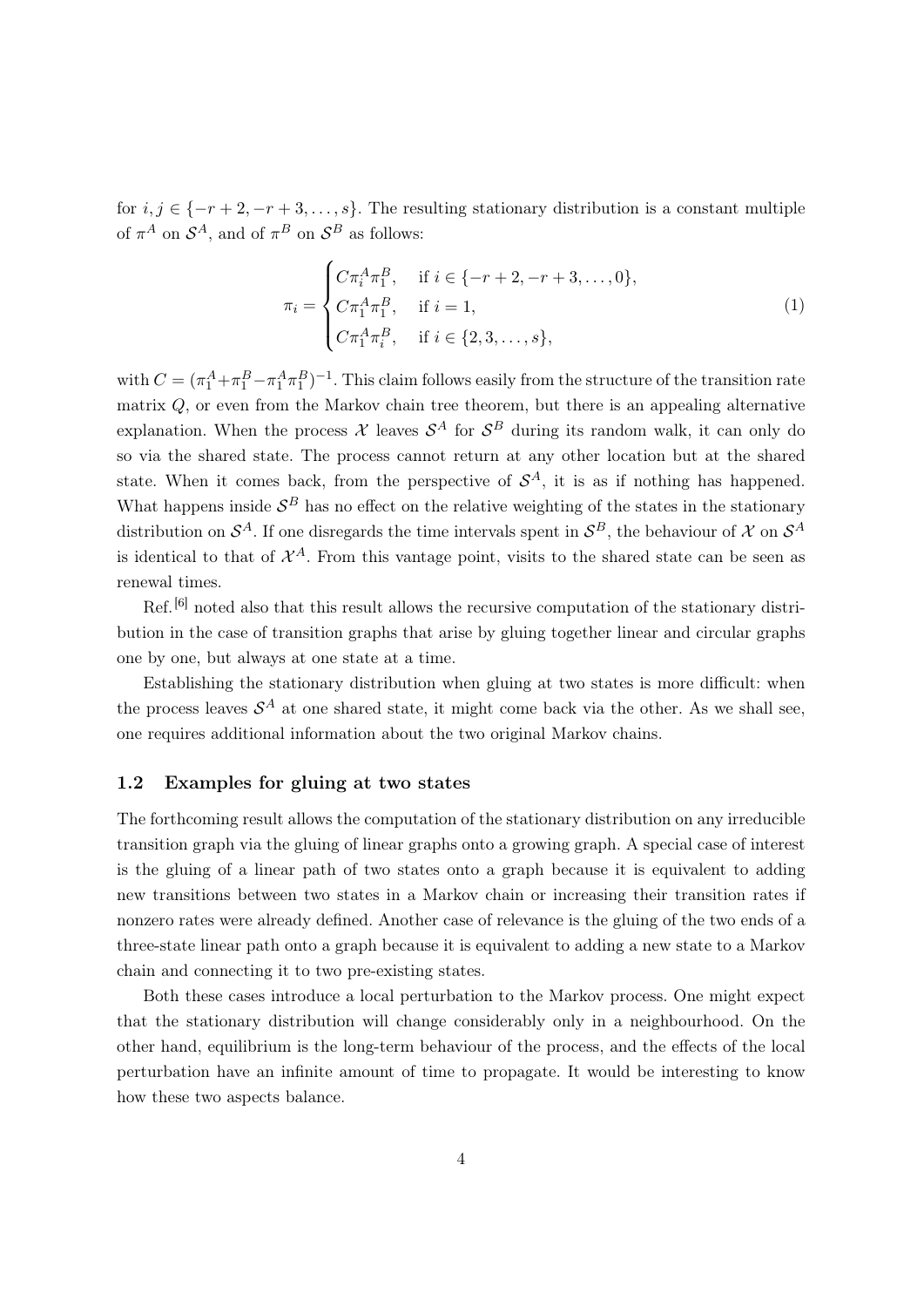for  $i, j \in \{-r+2, -r+3, \ldots, s\}$ . The resulting stationary distribution is a constant multiple of  $\pi^A$  on  $\mathcal{S}^A$ , and of  $\pi^B$  on  $\mathcal{S}^B$  as follows:

$$
\pi_i = \begin{cases}\nC\pi_i^A \pi_1^B, & \text{if } i \in \{-r+2, -r+3, \dots, 0\}, \\
C\pi_1^A \pi_1^B, & \text{if } i = 1, \\
C\pi_1^A \pi_i^B, & \text{if } i \in \{2, 3, \dots, s\},\n\end{cases}
$$
\n(1)

with  $C = (\pi_1^A + \pi_1^B - \pi_1^A \pi_1^B)^{-1}$ . This claim follows easily from the structure of the transition rate matrix Q, or even from the Markov chain tree theorem, but there is an appealing alternative explanation. When the process  $\mathcal X$  leaves  $\mathcal S^A$  for  $\mathcal S^B$  during its random walk, it can only do so via the shared state. The process cannot return at any other location but at the shared state. When it comes back, from the perspective of  $S<sup>A</sup>$ , it is as if nothing has happened. What happens inside  $S^B$  has no effect on the relative weighting of the states in the stationary distribution on  $\mathcal{S}^A$ . If one disregards the time intervals spent in  $\mathcal{S}^B$ , the behaviour of X on  $\mathcal{S}^A$ is identical to that of  $\mathcal{X}^A$ . From this vantage point, visits to the shared state can be seen as renewal times.

Ref.<sup>[6]</sup> noted also that this result allows the recursive computation of the stationary distribution in the case of transition graphs that arise by gluing together linear and circular graphs one by one, but always at one state at a time.

Establishing the stationary distribution when gluing at two states is more difficult: when the process leaves  $\mathcal{S}^A$  at one shared state, it might come back via the other. As we shall see, one requires additional information about the two original Markov chains.

#### 1.2 Examples for gluing at two states

The forthcoming result allows the computation of the stationary distribution on any irreducible transition graph via the gluing of linear graphs onto a growing graph. A special case of interest is the gluing of a linear path of two states onto a graph because it is equivalent to adding new transitions between two states in a Markov chain or increasing their transition rates if nonzero rates were already defined. Another case of relevance is the gluing of the two ends of a three-state linear path onto a graph because it is equivalent to adding a new state to a Markov chain and connecting it to two pre-existing states.

Both these cases introduce a local perturbation to the Markov process. One might expect that the stationary distribution will change considerably only in a neighbourhood. On the other hand, equilibrium is the long-term behaviour of the process, and the effects of the local perturbation have an infinite amount of time to propagate. It would be interesting to know how these two aspects balance.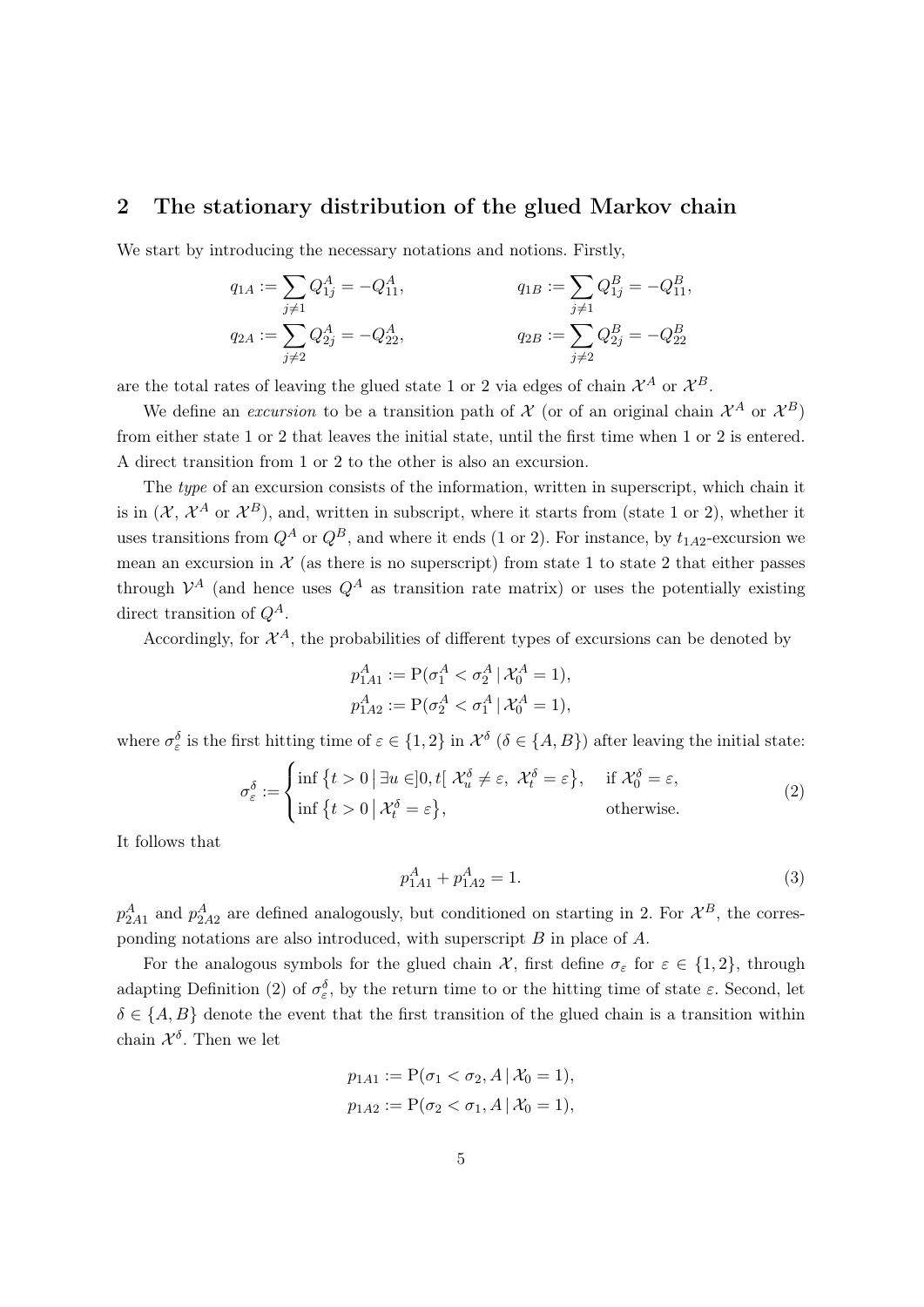### 2 The stationary distribution of the glued Markov chain

We start by introducing the necessary notations and notions. Firstly,

$$
q_{1A} := \sum_{j \neq 1} Q_{1j}^{A} = -Q_{11}^{A},
$$
  
\n
$$
q_{2A} := \sum_{j \neq 2} Q_{2j}^{A} = -Q_{22}^{A},
$$
  
\n
$$
q_{2B} := \sum_{j \neq 2} Q_{2j}^{B} = -Q_{22}^{B},
$$
  
\n
$$
q_{2B} := \sum_{j \neq 2} Q_{2j}^{B} = -Q_{22}^{B}
$$

are the total rates of leaving the glued state 1 or 2 via edges of chain  $\mathcal{X}^A$  or  $\mathcal{X}^B$ .

We define an *excursion* to be a transition path of  $\mathcal{X}$  (or of an original chain  $\mathcal{X}^A$  or  $\mathcal{X}^B$ ) from either state 1 or 2 that leaves the initial state, until the first time when 1 or 2 is entered. A direct transition from 1 or 2 to the other is also an excursion.

The type of an excursion consists of the information, written in superscript, which chain it is in  $(X, X^A$  or  $\mathcal{X}^B)$ , and, written in subscript, where it starts from (state 1 or 2), whether it uses transitions from  $Q^A$  or  $Q^B$ , and where it ends (1 or 2). For instance, by  $t_{1A2}$ -excursion we mean an excursion in  $\mathcal X$  (as there is no superscript) from state 1 to state 2 that either passes through  $\mathcal{V}^A$  (and hence uses  $Q^A$  as transition rate matrix) or uses the potentially existing direct transition of  $Q^A$ .

Accordingly, for  $\mathcal{X}^A$ , the probabilities of different types of excursions can be denoted by

$$
p_{1A1}^{A} := \mathcal{P}(\sigma_1^A < \sigma_2^A \,|\, \mathcal{X}_0^A = 1),
$$
\n
$$
p_{1A2}^{A} := \mathcal{P}(\sigma_2^A < \sigma_1^A \,|\, \mathcal{X}_0^A = 1),
$$

where  $\sigma_{\varepsilon}^{\delta}$  is the first hitting time of  $\varepsilon \in \{1,2\}$  in  $\mathcal{X}^{\delta}$  ( $\delta \in \{A,B\}$ ) after leaving the initial state:

$$
\sigma_{\varepsilon}^{\delta} := \begin{cases} \inf \{ t > 0 \, | \, \exists u \in ]0, t[ \, \mathcal{X}_u^{\delta} \neq \varepsilon, \, \mathcal{X}_t^{\delta} = \varepsilon \}, & \text{if } \mathcal{X}_0^{\delta} = \varepsilon, \\ \inf \{ t > 0 \, | \, \mathcal{X}_t^{\delta} = \varepsilon \}, & \text{otherwise.} \end{cases} \tag{2}
$$

It follows that

$$
p_{1A1}^A + p_{1A2}^A = 1.
$$
 (3)

 $p_{2A1}^A$  and  $p_{2A2}^A$  are defined analogously, but conditioned on starting in 2. For  $\mathcal{X}^B$ , the corresponding notations are also introduced, with superscript  $B$  in place of  $A$ .

For the analogous symbols for the glued chain  $\mathcal{X}$ , first define  $\sigma_{\varepsilon}$  for  $\varepsilon \in \{1,2\}$ , through adapting Definition (2) of  $\sigma_{\varepsilon}^{\delta}$ , by the return time to or the hitting time of state  $\varepsilon$ . Second, let  $\delta \in \{A, B\}$  denote the event that the first transition of the glued chain is a transition within chain  $\mathcal{X}^{\delta}$ . Then we let

$$
p_{1A1} := P(\sigma_1 < \sigma_2, A \, | \, \mathcal{X}_0 = 1),
$$
\n
$$
p_{1A2} := P(\sigma_2 < \sigma_1, A \, | \, \mathcal{X}_0 = 1),
$$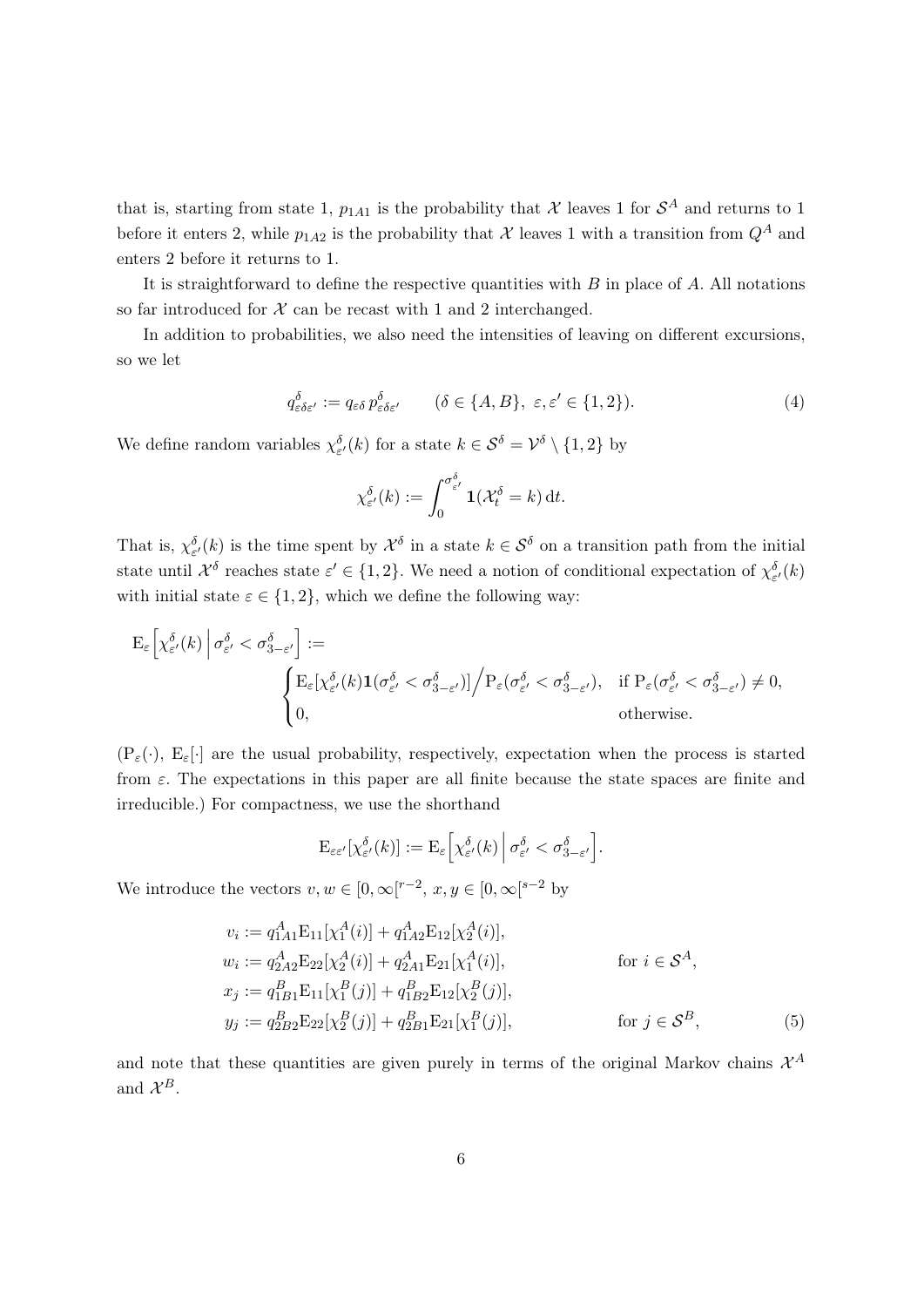that is, starting from state 1,  $p_{1A1}$  is the probability that X leaves 1 for  $\mathcal{S}^A$  and returns to 1 before it enters 2, while  $p_{1A2}$  is the probability that X leaves 1 with a transition from  $Q^A$  and enters 2 before it returns to 1.

It is straightforward to define the respective quantities with  $B$  in place of  $A$ . All notations so far introduced for  $X$  can be recast with 1 and 2 interchanged.

In addition to probabilities, we also need the intensities of leaving on different excursions, so we let

$$
q_{\varepsilon\delta\varepsilon'}^{\delta} := q_{\varepsilon\delta} p_{\varepsilon\delta\varepsilon'}^{\delta} \qquad (\delta \in \{A, B\}, \ \varepsilon, \varepsilon' \in \{1, 2\}). \tag{4}
$$

We define random variables  $\chi_{\varepsilon'}^{\delta}(k)$  for a state  $k \in S^{\delta} = \mathcal{V}^{\delta} \setminus \{1,2\}$  by

$$
\chi_{\varepsilon'}^{\delta}(k) := \int_0^{\sigma_{\varepsilon'}^{\delta}} \mathbf{1}(\mathcal{X}_t^{\delta} = k) dt.
$$

That is,  $\chi^{\delta}_{\varepsilon'}(k)$  is the time spent by  $\mathcal{X}^{\delta}$  in a state  $k \in \mathcal{S}^{\delta}$  on a transition path from the initial state until  $\mathcal{X}^{\delta}$  reaches state  $\varepsilon' \in \{1,2\}$ . We need a notion of conditional expectation of  $\chi_{\varepsilon'}^{\delta}(k)$ with initial state  $\varepsilon \in \{1,2\}$ , which we define the following way:

$$
\begin{split} \mathrm{E}_\varepsilon\Big[\chi^\delta_{\varepsilon'}(k)\,\Big|\,\sigma^\delta_{\varepsilon'}<\sigma^\delta_{3-\varepsilon'}\Big]:=&\\ &\hspace{100pt}\Bigg\{\mathrm{E}_\varepsilon[\chi^\delta_{\varepsilon'}(k)\mathbf{1}(\sigma^\delta_{\varepsilon'}<\sigma^\delta_{3-\varepsilon'})]\Big/P_\varepsilon(\sigma^\delta_{\varepsilon'}<\sigma^\delta_{3-\varepsilon'}),\quad \mathrm{if}\; \mathrm{P}_\varepsilon(\sigma^\delta_{\varepsilon'}<\sigma^\delta_{3-\varepsilon'})\neq 0,\\ &0,\qquad \qquad \mathrm{otherwise}. \end{split}
$$

 $(P_{\varepsilon}(\cdot), E_{\varepsilon}[\cdot]$  are the usual probability, respectively, expectation when the process is started from  $\varepsilon$ . The expectations in this paper are all finite because the state spaces are finite and irreducible.) For compactness, we use the shorthand

$$
\mathrm{E}_{\varepsilon\varepsilon'}[\chi_{\varepsilon'}^{\delta}(k)] := \mathrm{E}_{\varepsilon}\Big[\chi_{\varepsilon'}^{\delta}(k)\,\Big|\,\sigma_{\varepsilon'}^{\delta} < \sigma_{3-\varepsilon'}^{\delta}\Big].
$$

We introduce the vectors  $v, w \in [0, \infty[^{r-2}, x, y \in [0, \infty[^{s-2}]$  by

$$
v_i := q_{1A1}^A \mathcal{E}_{11}[\chi_1^A(i)] + q_{1A2}^A \mathcal{E}_{12}[\chi_2^A(i)],
$$
  
\n
$$
w_i := q_{2A2}^A \mathcal{E}_{22}[\chi_2^A(i)] + q_{2A1}^A \mathcal{E}_{21}[\chi_1^A(i)],
$$
 for  $i \in \mathcal{S}^A$ ,  
\n
$$
x_j := q_{1B1}^B \mathcal{E}_{11}[\chi_1^B(j)] + q_{1B2}^B \mathcal{E}_{12}[\chi_2^B(j)],
$$
  
\n
$$
y_j := q_{2B2}^B \mathcal{E}_{22}[\chi_2^B(j)] + q_{2B1}^B \mathcal{E}_{21}[\chi_1^B(j)],
$$
 for  $j \in \mathcal{S}^B$ , (5)

and note that these quantities are given purely in terms of the original Markov chains  $\mathcal{X}^A$ and  $\mathcal{X}^B$ .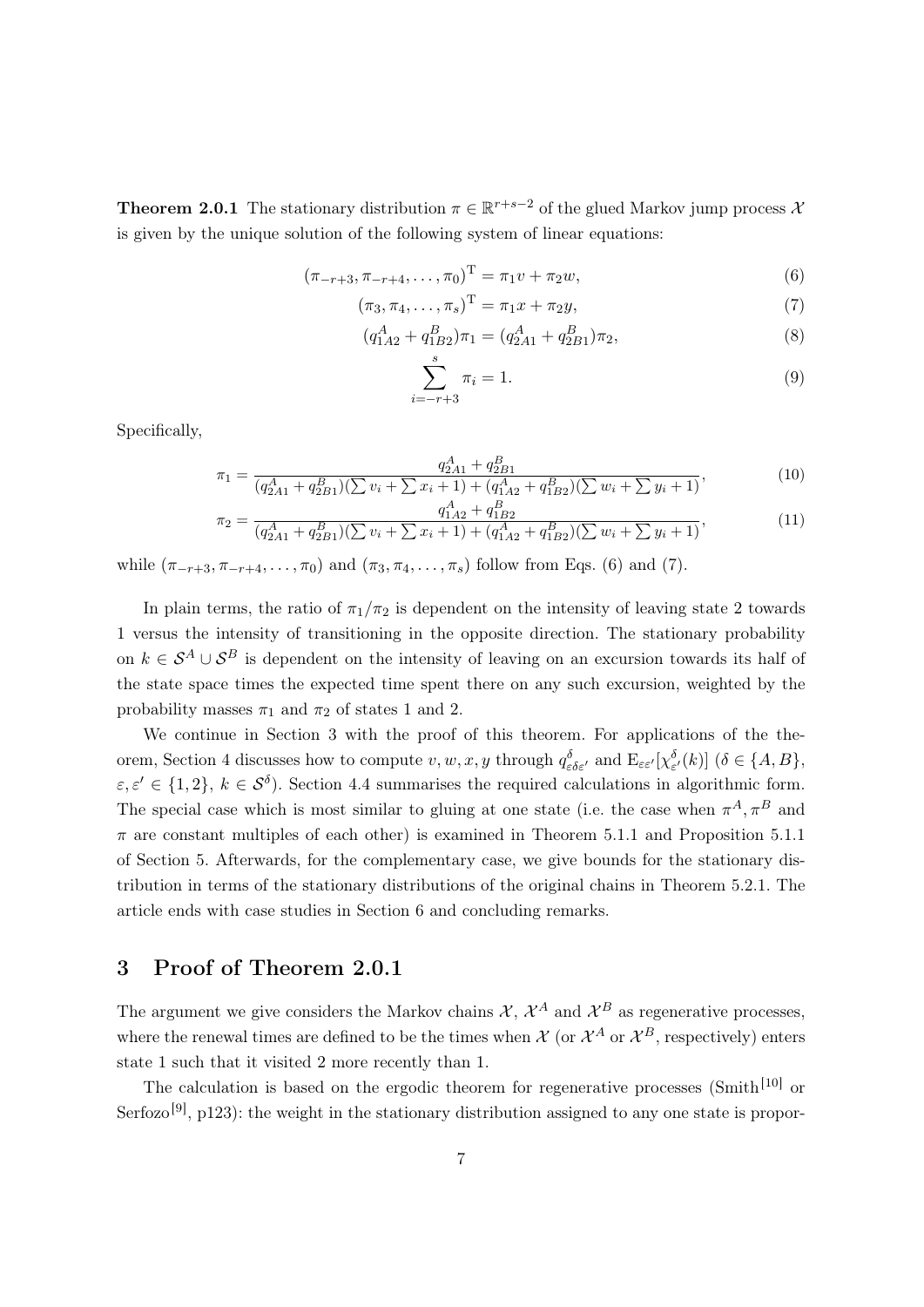**Theorem 2.0.1** The stationary distribution  $\pi \in \mathbb{R}^{r+s-2}$  of the glued Markov jump process  $\lambda$ is given by the unique solution of the following system of linear equations:

$$
(\pi_{-r+3}, \pi_{-r+4}, \dots, \pi_0)^{\mathrm{T}} = \pi_1 v + \pi_2 w,\tag{6}
$$

$$
(\pi_3, \pi_4, \dots, \pi_s)^{\mathrm{T}} = \pi_1 x + \pi_2 y,\tag{7}
$$

$$
(q_{1A2}^A + q_{1B2}^B)\pi_1 = (q_{2A1}^A + q_{2B1}^B)\pi_2,\tag{8}
$$

$$
\sum_{i=-r+3}^{s} \pi_i = 1.
$$
\n(9)

Specifically,

$$
\pi_1 = \frac{q_{2A1}^A + q_{2B1}^B}{(q_{2A1}^A + q_{2B1}^B)(\sum v_i + \sum x_i + 1) + (q_{1A2}^A + q_{1B2}^B)(\sum w_i + \sum y_i + 1)},\tag{10}
$$

$$
\pi_2 = \frac{q_{1A2}^A + q_{BB2}^B}{(q_{2A1}^A + q_{2B1}^B)(\sum v_i + \sum x_i + 1) + (q_{1A2}^A + q_{1B2}^B)(\sum w_i + \sum y_i + 1)},\tag{11}
$$

while  $(\pi_{-r+3}, \pi_{-r+4}, \ldots, \pi_0)$  and  $(\pi_3, \pi_4, \ldots, \pi_s)$  follow from Eqs. (6) and (7).

In plain terms, the ratio of  $\pi_1/\pi_2$  is dependent on the intensity of leaving state 2 towards 1 versus the intensity of transitioning in the opposite direction. The stationary probability on  $k \in S^A \cup S^B$  is dependent on the intensity of leaving on an excursion towards its half of the state space times the expected time spent there on any such excursion, weighted by the probability masses  $\pi_1$  and  $\pi_2$  of states 1 and 2.

We continue in Section 3 with the proof of this theorem. For applications of the theorem, Section 4 discusses how to compute  $v, w, x, y$  through  $q_{\varepsilon \delta \varepsilon'}^{\delta}$  and  $E_{\varepsilon \varepsilon'}[\chi^{\delta}_{\varepsilon'}(k)]$  ( $\delta \in \{A, B\}$ ,  $\varepsilon, \varepsilon' \in \{1, 2\}, k \in \mathcal{S}^{\delta}$ . Section 4.4 summarises the required calculations in algorithmic form. The special case which is most similar to gluing at one state (i.e. the case when  $\pi^A, \pi^B$  and  $\pi$  are constant multiples of each other) is examined in Theorem 5.1.1 and Proposition 5.1.1 of Section 5. Afterwards, for the complementary case, we give bounds for the stationary distribution in terms of the stationary distributions of the original chains in Theorem 5.2.1. The article ends with case studies in Section 6 and concluding remarks.

# 3 Proof of Theorem 2.0.1

The argument we give considers the Markov chains  $\mathcal{X}, \mathcal{X}^A$  and  $\mathcal{X}^B$  as regenerative processes, where the renewal times are defined to be the times when  $\mathcal{X}$  (or  $\mathcal{X}^{A}$  or  $\mathcal{X}^{B}$ , respectively) enters state 1 such that it visited 2 more recently than 1.

The calculation is based on the ergodic theorem for regenerative processes (Smith<sup>[10]</sup> or Serfozo<sup>[9]</sup>, p123): the weight in the stationary distribution assigned to any one state is propor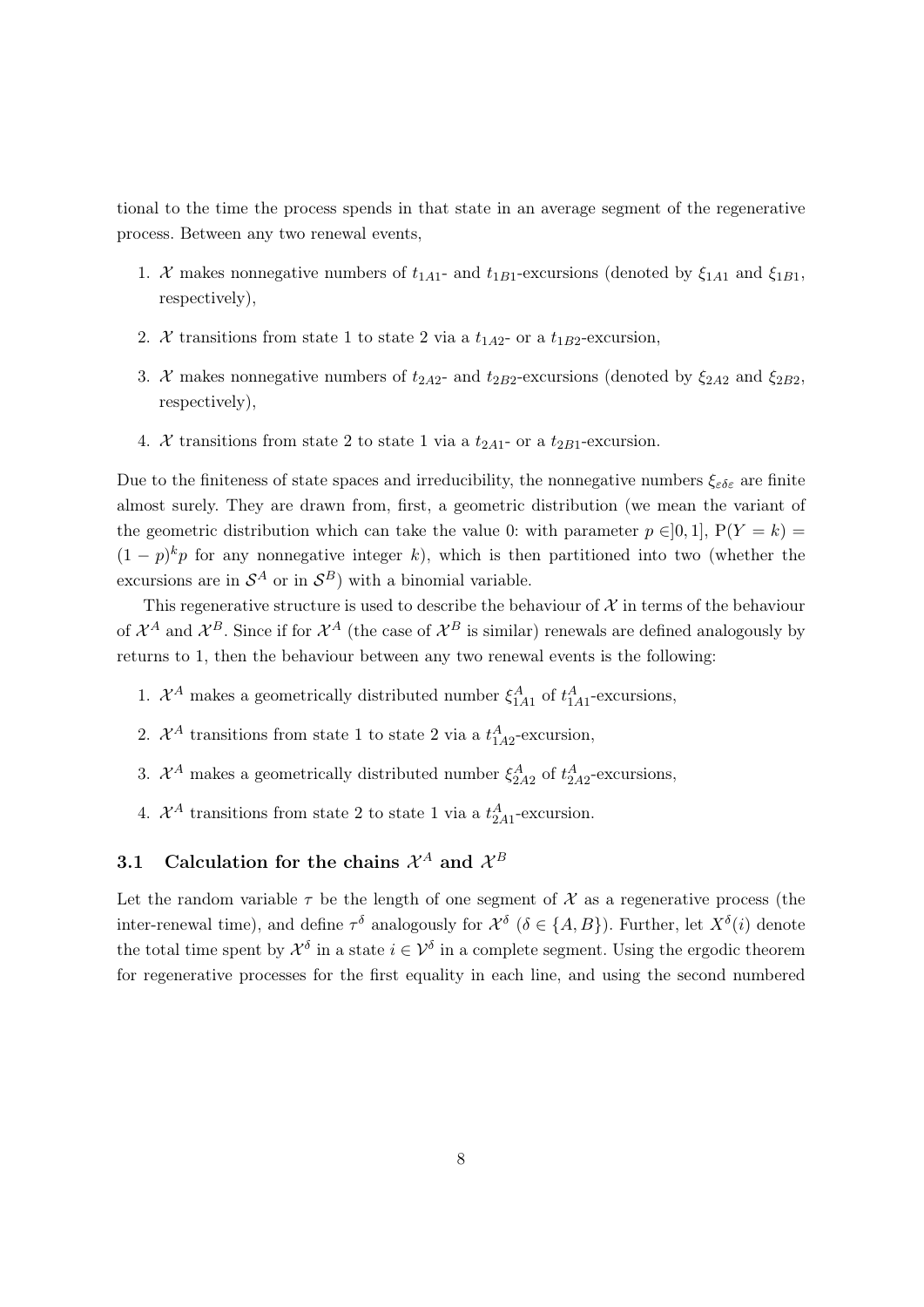tional to the time the process spends in that state in an average segment of the regenerative process. Between any two renewal events,

- 1. X makes nonnegative numbers of  $t_{1A1}$  and  $t_{1B1}$ -excursions (denoted by  $\xi_{1A1}$  and  $\xi_{1B1}$ , respectively),
- 2. X transitions from state 1 to state 2 via a  $t_{1A2}$  or a  $t_{1B2}$ -excursion,
- 3. X makes nonnegative numbers of  $t_{2A2}$  and  $t_{2B2}$ -excursions (denoted by  $\xi_{2A2}$  and  $\xi_{2B2}$ , respectively),
- 4. X transitions from state 2 to state 1 via a  $t_{2A1}$  or a  $t_{2B1}$ -excursion.

Due to the finiteness of state spaces and irreducibility, the nonnegative numbers  $\xi_{\varepsilon\delta\varepsilon}$  are finite almost surely. They are drawn from, first, a geometric distribution (we mean the variant of the geometric distribution which can take the value 0: with parameter  $p \in ]0,1]$ ,  $P(Y = k)$  $(1-p)^k p$  for any nonnegative integer k), which is then partitioned into two (whether the excursions are in  $\mathcal{S}^A$  or in  $\mathcal{S}^B$ ) with a binomial variable.

This regenerative structure is used to describe the behaviour of  $\mathcal X$  in terms of the behaviour of  $\mathcal{X}^A$  and  $\mathcal{X}^B$ . Since if for  $\mathcal{X}^A$  (the case of  $\mathcal{X}^B$  is similar) renewals are defined analogously by returns to 1, then the behaviour between any two renewal events is the following:

- 1.  $\mathcal{X}^A$  makes a geometrically distributed number  $\xi_{1A1}^A$  of  $t_{1A1}^A$ -excursions,
- 2.  $\mathcal{X}^A$  transitions from state 1 to state 2 via a  $t_{1A2}^A$ -excursion,
- 3.  $\mathcal{X}^A$  makes a geometrically distributed number  $\xi_{2A2}^A$  of  $t_{2A2}^A$ -excursions,
- 4.  $\mathcal{X}^A$  transitions from state 2 to state 1 via a  $t_{2A1}^A$ -excursion.

# 3.1 Calculation for the chains  $\mathcal{X}^A$  and  $\mathcal{X}^B$

Let the random variable  $\tau$  be the length of one segment of  $\mathcal X$  as a regenerative process (the inter-renewal time), and define  $\tau^{\delta}$  analogously for  $\mathcal{X}^{\delta}$  ( $\delta \in \{A, B\}$ ). Further, let  $X^{\delta}(i)$  denote the total time spent by  $\mathcal{X}^{\delta}$  in a state  $i \in \mathcal{V}^{\delta}$  in a complete segment. Using the ergodic theorem for regenerative processes for the first equality in each line, and using the second numbered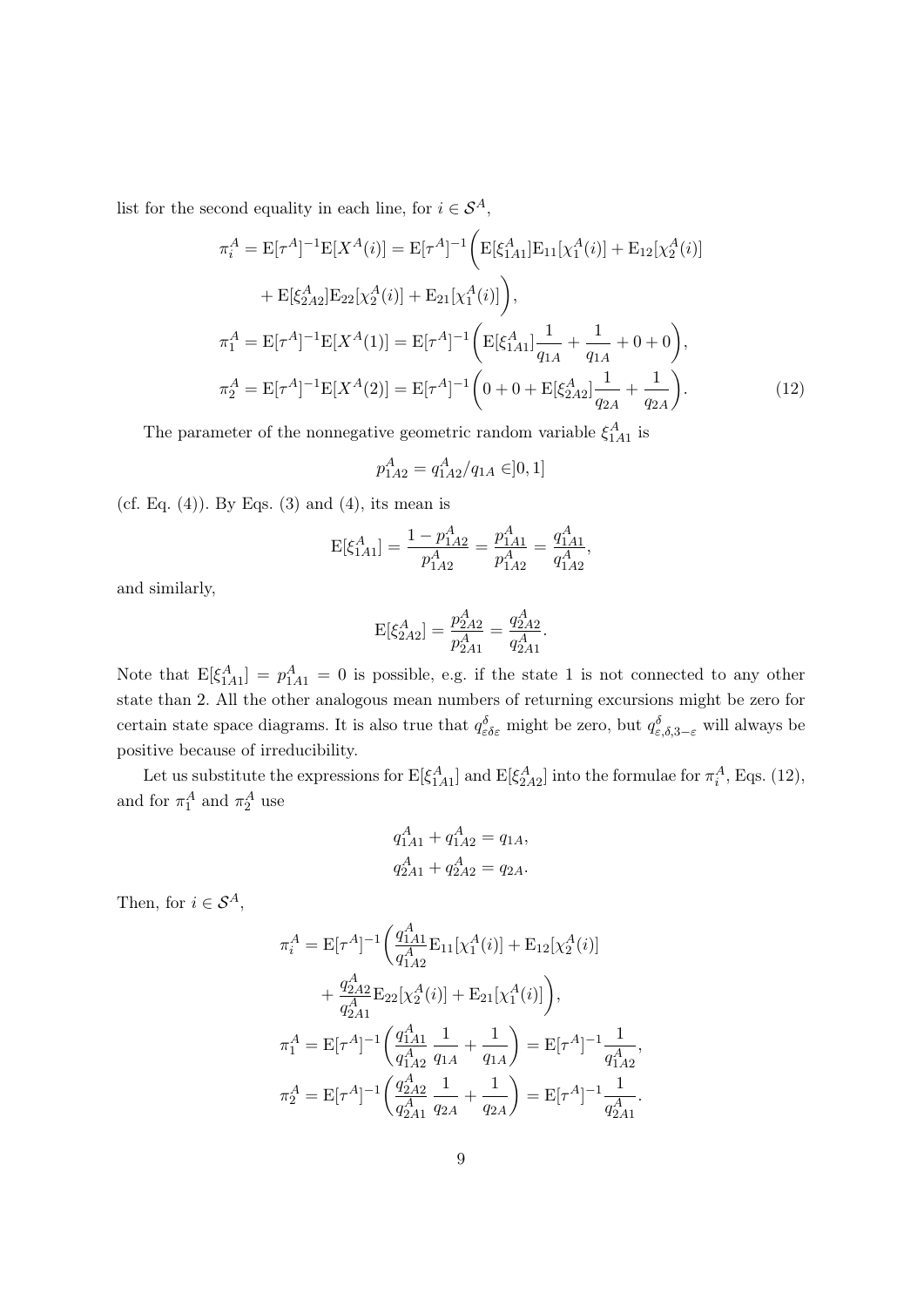list for the second equality in each line, for  $i \in \mathcal{S}^A$ ,

$$
\pi_i^A = \mathcal{E}[\tau^A]^{-1} \mathcal{E}[X^A(i)] = \mathcal{E}[\tau^A]^{-1} \bigg( \mathcal{E}[\xi_{1A1}^A] \mathcal{E}_{11}[\chi_1^A(i)] + \mathcal{E}_{12}[\chi_2^A(i)] \n+ \mathcal{E}[\xi_{2A2}^A] \mathcal{E}_{22}[\chi_2^A(i)] + \mathcal{E}_{21}[\chi_1^A(i)] \bigg),
$$
\n
$$
\pi_1^A = \mathcal{E}[\tau^A]^{-1} \mathcal{E}[X^A(1)] = \mathcal{E}[\tau^A]^{-1} \bigg( \mathcal{E}[\xi_{1A1}^A] \frac{1}{q_{1A}} + \frac{1}{q_{1A}} + 0 + 0 \bigg),
$$
\n
$$
\pi_2^A = \mathcal{E}[\tau^A]^{-1} \mathcal{E}[X^A(2)] = \mathcal{E}[\tau^A]^{-1} \bigg( 0 + 0 + \mathcal{E}[\xi_{2A2}^A] \frac{1}{q_{2A}} + \frac{1}{q_{2A}} \bigg).
$$
\n(12)

The parameter of the nonnegative geometric random variable  $\xi_{1A1}^{A}$  is

$$
p_{1A2}^A = q_{1A2}^A / q_{1A} \in ]0,1]
$$

(cf. Eq.  $(4)$ ). By Eqs.  $(3)$  and  $(4)$ , its mean is

$$
E[\xi_{1A1}^{A}] = \frac{1 - p_{1A2}^{A}}{p_{1A2}^{A}} = \frac{p_{1A1}^{A}}{p_{1A2}^{A}} = \frac{q_{1A1}^{A}}{q_{1A2}^{A}},
$$

and similarly,

$$
E[\xi_{2A2}^A] = \frac{p_{2A2}^A}{p_{2A1}^A} = \frac{q_{2A2}^A}{q_{2A1}^A}.
$$

Note that  $E[\xi_{1A1}^A] = p_{1A1}^A = 0$  is possible, e.g. if the state 1 is not connected to any other state than 2. All the other analogous mean numbers of returning excursions might be zero for certain state space diagrams. It is also true that  $q_{\varepsilon\delta\varepsilon}^{\delta}$  might be zero, but  $q_{\varepsilon,\delta,3-\varepsilon}^{\delta}$  will always be positive because of irreducibility.

Let us substitute the expressions for  $E[\xi_{1A1}^A]$  and  $E[\xi_{2A2}^A]$  into the formulae for  $\pi_i^A$ , Eqs. (12), and for  $\pi_1^A$  and  $\pi_2^A$  use

$$
q_{1A1}^A + q_{1A2}^A = q_{1A},
$$
  

$$
q_{2A1}^A + q_{2A2}^A = q_{2A}.
$$

Then, for  $i \in S^A$ ,

$$
\pi_i^A = \mathcal{E}[\tau^A]^{-1} \left( \frac{q_{1A1}^A}{q_{1A2}^A} \mathcal{E}_{11}[\chi_1^A(i)] + \mathcal{E}_{12}[\chi_2^A(i)] \right. \\
\left. + \frac{q_{2A2}^A}{q_{2A1}^A} \mathcal{E}_{22}[\chi_2^A(i)] + \mathcal{E}_{21}[\chi_1^A(i)] \right), \\
\pi_1^A = \mathcal{E}[\tau^A]^{-1} \left( \frac{q_{1A1}^A}{q_{1A2}^A} \frac{1}{q_{1A}} + \frac{1}{q_{1A}} \right) = \mathcal{E}[\tau^A]^{-1} \frac{1}{q_{1A2}^A}, \\
\pi_2^A = \mathcal{E}[\tau^A]^{-1} \left( \frac{q_{2A2}^A}{q_{2A}^A} \frac{1}{q_{2A}} + \frac{1}{q_{2A}} \right) = \mathcal{E}[\tau^A]^{-1} \frac{1}{q_{2A1}^A}.
$$

,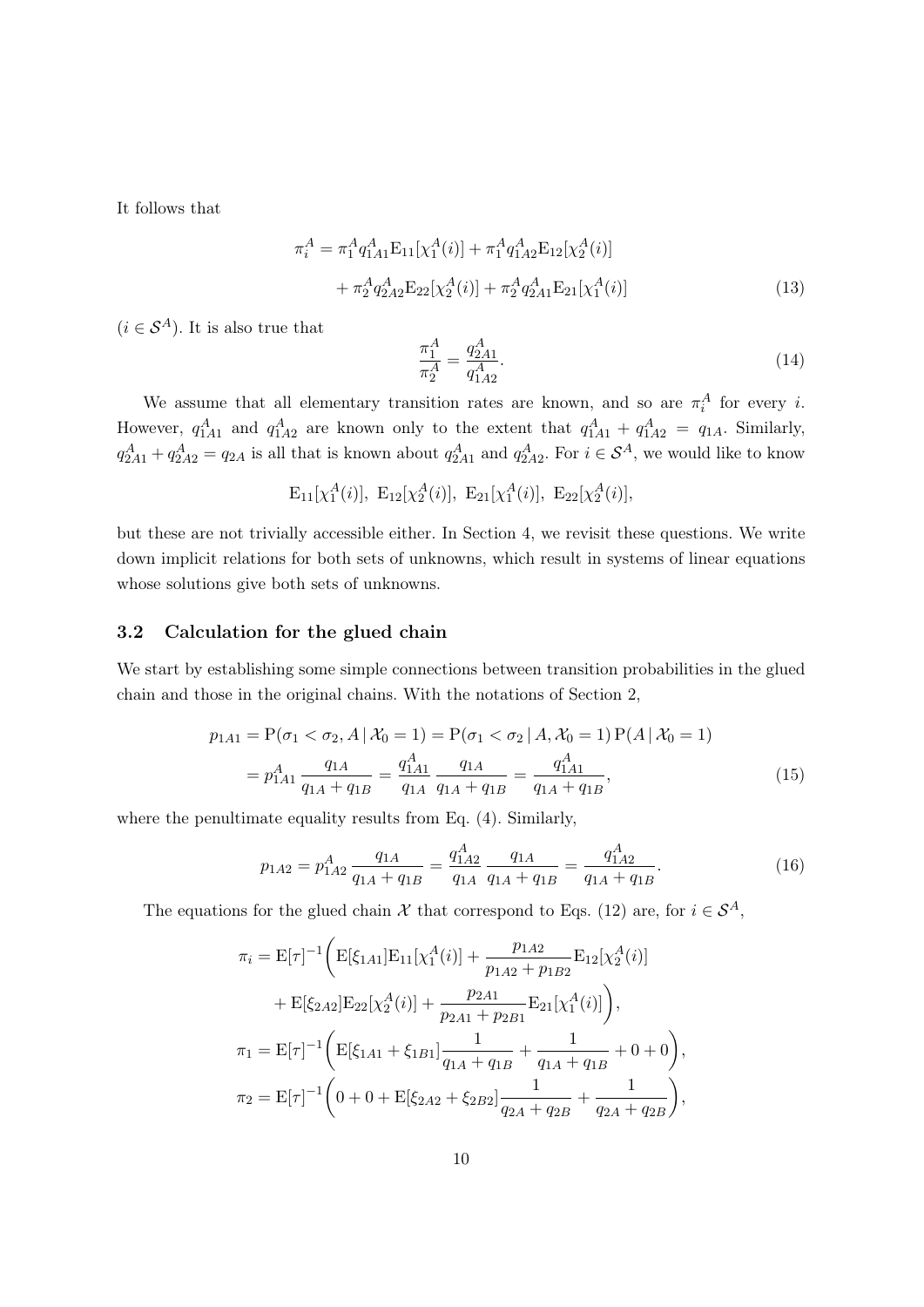It follows that

$$
\pi_i^A = \pi_1^A q_{1A1}^A \mathbf{E}_{11} [\chi_1^A(i)] + \pi_1^A q_{1A2}^A \mathbf{E}_{12} [\chi_2^A(i)] + \pi_2^A q_{2A2}^A \mathbf{E}_{22} [\chi_2^A(i)] + \pi_2^A q_{2A1}^A \mathbf{E}_{21} [\chi_1^A(i)]
$$
\n(13)

 $(i \in S<sup>A</sup>)$ . It is also true that

$$
\frac{\pi_1^A}{\pi_2^A} = \frac{q_{2A1}^A}{q_{1A2}^A}.\tag{14}
$$

We assume that all elementary transition rates are known, and so are  $\pi_i^A$  for every *i*. However,  $q_{1A1}^A$  and  $q_{1A2}^A$  are known only to the extent that  $q_{1A1}^A + q_{1A2}^A = q_{1A}$ . Similarly,  $q_{2A1}^A+q_{2A2}^A=q_{2A}$  is all that is known about  $q_{2A1}^A$  and  $q_{2A2}^A$ . For  $i \in S^A$ , we would like to know

$$
E_{11}[\chi_1^A(i)], E_{12}[\chi_2^A(i)], E_{21}[\chi_1^A(i)], E_{22}[\chi_2^A(i)],
$$

but these are not trivially accessible either. In Section 4, we revisit these questions. We write down implicit relations for both sets of unknowns, which result in systems of linear equations whose solutions give both sets of unknowns.

### 3.2 Calculation for the glued chain

We start by establishing some simple connections between transition probabilities in the glued chain and those in the original chains. With the notations of Section 2,

$$
p_{1A1} = P(\sigma_1 < \sigma_2, A \mid \mathcal{X}_0 = 1) = P(\sigma_1 < \sigma_2 \mid A, \mathcal{X}_0 = 1) P(A \mid \mathcal{X}_0 = 1)
$$
\n
$$
= p_{1A1}^A \frac{q_{1A}}{q_{1A} + q_{1B}} = \frac{q_{1A1}^A}{q_{1A} + q_{1B}} = \frac{q_{1A1}^A}{q_{1A} + q_{1B}},\tag{15}
$$

where the penultimate equality results from Eq. (4). Similarly,

$$
p_{1A2} = p_{1A2}^A \frac{q_{1A}}{q_{1A} + q_{1B}} = \frac{q_{1A2}^A}{q_{1A}} \frac{q_{1A}}{q_{1A} + q_{1B}} = \frac{q_{1A2}^A}{q_{1A} + q_{1B}}.
$$
 (16)

The equations for the glued chain  $\mathcal X$  that correspond to Eqs. (12) are, for  $i \in \mathcal S^A$ ,

$$
\pi_{i} = \mathbf{E}[\tau]^{-1} \bigg( \mathbf{E}[\xi_{1A1}] \mathbf{E}_{11}[\chi_{1}^{A}(i)] + \frac{p_{1A2}}{p_{1A2} + p_{1B2}} \mathbf{E}_{12}[\chi_{2}^{A}(i)] \n+ \mathbf{E}[\xi_{2A2}] \mathbf{E}_{22}[\chi_{2}^{A}(i)] + \frac{p_{2A1}}{p_{2A1} + p_{2B1}} \mathbf{E}_{21}[\chi_{1}^{A}(i)] \bigg), \n\pi_{1} = \mathbf{E}[\tau]^{-1} \bigg( \mathbf{E}[\xi_{1A1} + \xi_{1B1}] \frac{1}{q_{1A} + q_{1B}} + \frac{1}{q_{1A} + q_{1B}} + 0 + 0 \bigg), \n\pi_{2} = \mathbf{E}[\tau]^{-1} \bigg( 0 + 0 + \mathbf{E}[\xi_{2A2} + \xi_{2B2}] \frac{1}{q_{2A} + q_{2B}} + \frac{1}{q_{2A} + q_{2B}} \bigg),
$$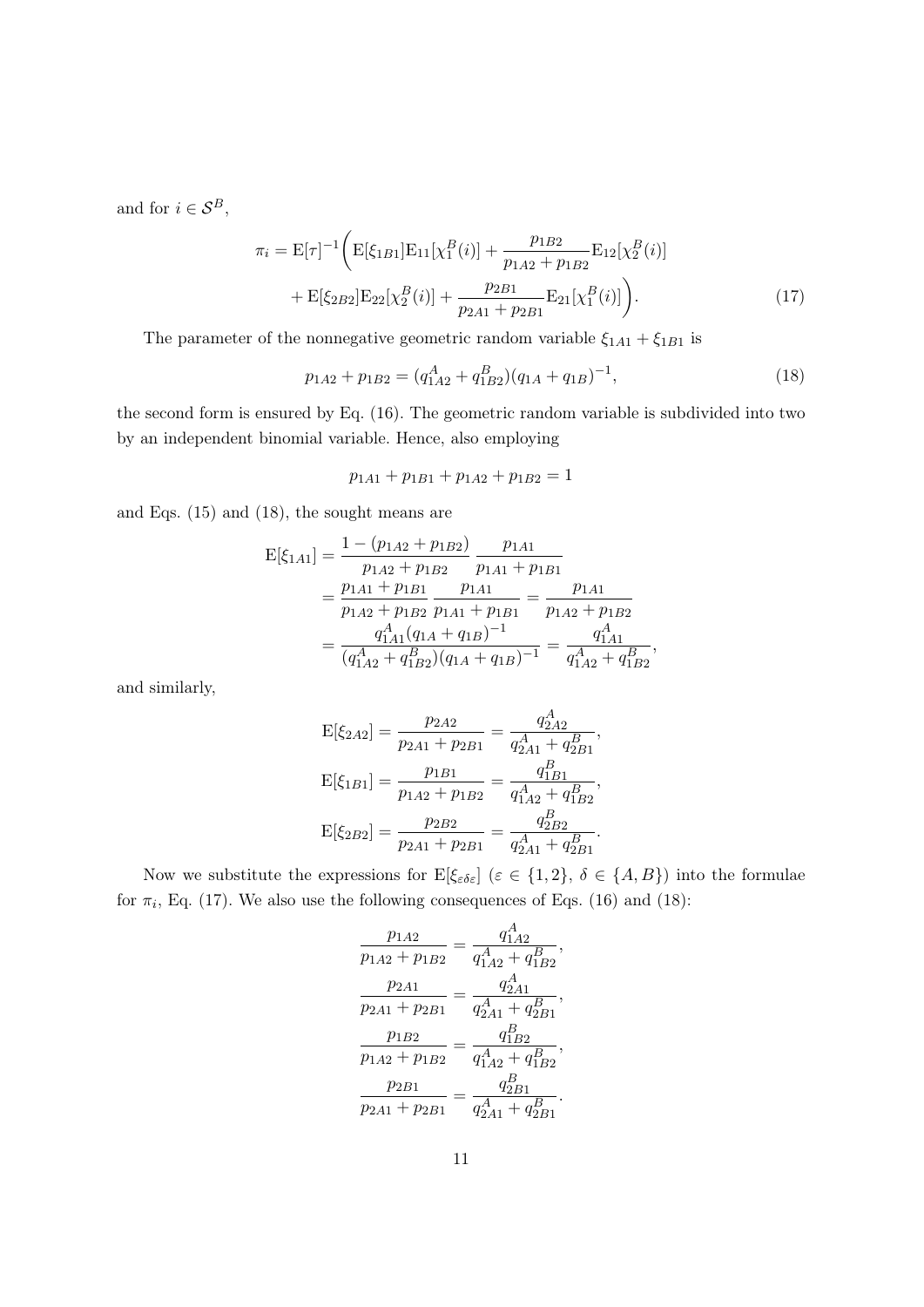and for  $i \in \mathcal{S}^B,$ 

$$
\pi_{i} = \mathbf{E}[\tau]^{-1} \bigg( \mathbf{E}[\xi_{1B1}] \mathbf{E}_{11}[\chi_{1}^{B}(i)] + \frac{p_{1B2}}{p_{1A2} + p_{1B2}} \mathbf{E}_{12}[\chi_{2}^{B}(i)] + \mathbf{E}[\xi_{2B2}] \mathbf{E}_{22}[\chi_{2}^{B}(i)] + \frac{p_{2B1}}{p_{2A1} + p_{2B1}} \mathbf{E}_{21}[\chi_{1}^{B}(i)] \bigg). \tag{17}
$$

The parameter of the nonnegative geometric random variable  $\xi_{1A1}+\xi_{1B1}$  is

$$
p_{1A2} + p_{1B2} = (q_{1A2}^A + q_{1B2}^B)(q_{1A} + q_{1B})^{-1},
$$
\n(18)

the second form is ensured by Eq. (16). The geometric random variable is subdivided into two by an independent binomial variable. Hence, also employing

 $p_{1A1} + p_{1B1} + p_{1A2} + p_{1B2} = 1$ 

and Eqs. (15) and (18), the sought means are

$$
E[\xi_{1A1}] = \frac{1 - (p_{1A2} + p_{1B2})}{p_{1A2} + p_{1B2}} \frac{p_{1A1}}{p_{1A1} + p_{1B1}}
$$
  
= 
$$
\frac{p_{1A1} + p_{1B1}}{p_{1A2} + p_{1B2}} \frac{p_{1A1}}{p_{1A1} + p_{1B1}} = \frac{p_{1A1}}{p_{1A2} + p_{1B2}}
$$
  
= 
$$
\frac{q_{1A1}^A (q_{1A} + q_{1B})^{-1}}{(q_{1A2}^A + q_{1B2}^B)(q_{1A} + q_{1B})^{-1}} = \frac{q_{1A1}^A}{q_{1A2}^A + q_{1B2}^B},
$$

and similarly,

$$
E[\xi_{2A2}] = \frac{p_{2A2}}{p_{2A1} + p_{2B1}} = \frac{q_{2A2}^A}{q_{2A1}^A + q_{2B1}^B},
$$
  
\n
$$
E[\xi_{1B1}] = \frac{p_{1B1}}{p_{1A2} + p_{1B2}} = \frac{q_{1B1}^B}{q_{1A2}^A + q_{1B2}^B},
$$
  
\n
$$
E[\xi_{2B2}] = \frac{p_{2B2}}{p_{2A1} + p_{2B1}} = \frac{q_{2B2}^B}{q_{2A1}^A + q_{2B1}^B}.
$$

Now we substitute the expressions for  $E[\xi_{\varepsilon\delta\varepsilon}]$   $(\varepsilon \in \{1,2\}, \delta \in \{A,B\})$  into the formulae for  $\pi_i$ , Eq. (17). We also use the following consequences of Eqs. (16) and (18):

$$
\frac{p_{1A2}}{p_{1A2} + p_{1B2}} = \frac{q_{1A2}^A}{q_{1A2}^A + q_{1B2}^B},
$$

$$
\frac{p_{2A1}}{p_{2A1} + p_{2B1}} = \frac{q_{2A1}^A}{q_{2A1}^A + q_{2B1}^B},
$$

$$
\frac{p_{1B2}}{p_{1A2} + p_{1B2}} = \frac{q_{1B2}^B}{q_{1A2}^A + q_{1B2}^B},
$$

$$
\frac{p_{2B1}}{p_{2A1} + p_{2B1}} = \frac{q_{2B1}^B}{q_{2A1}^A + q_{2B1}^B}.
$$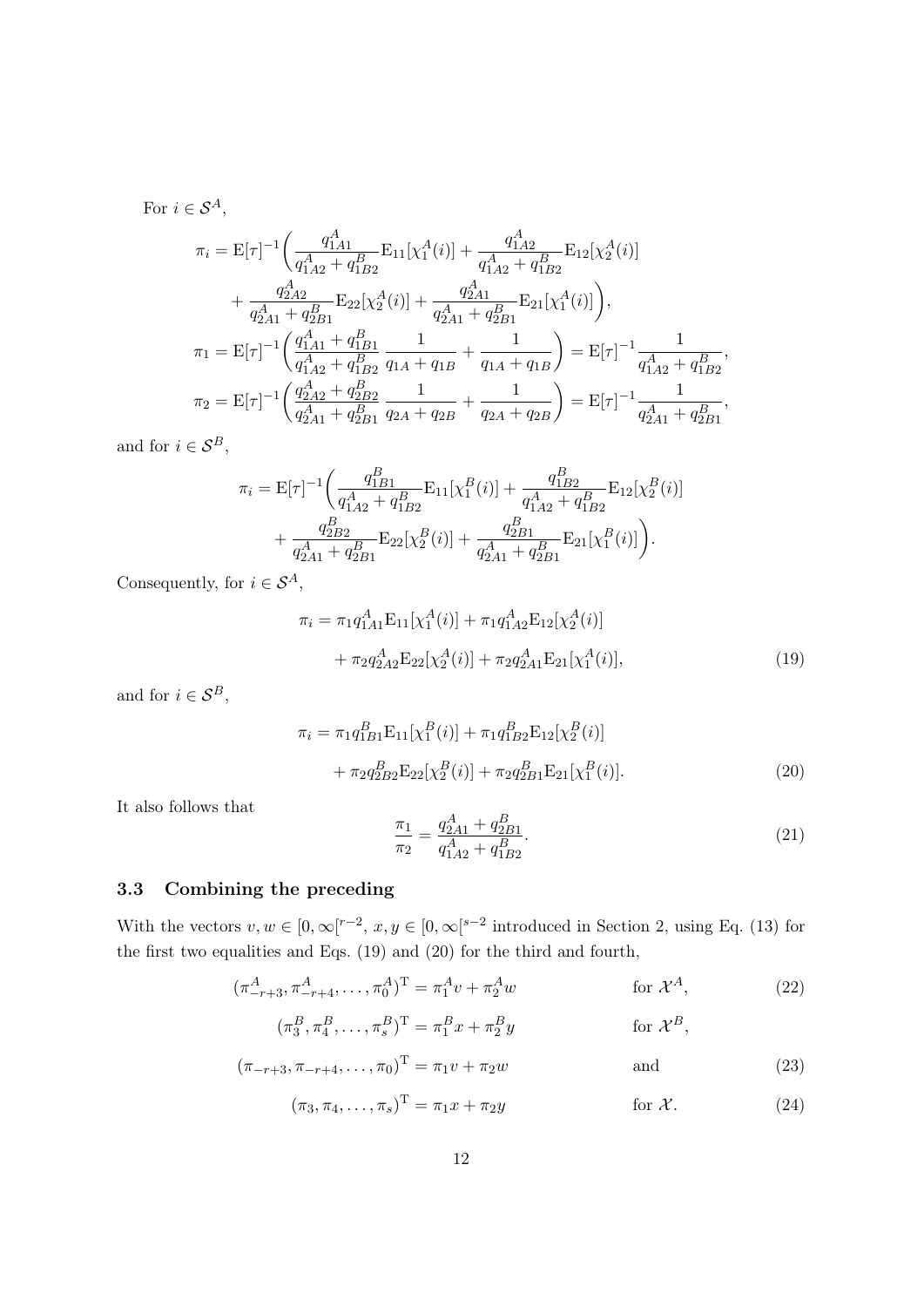For  $i\in\mathcal{S}^{A},$ 

$$
\pi_{i} = \mathbf{E}[\tau]^{-1} \left( \frac{q_{1A1}^{A}}{q_{1A2}^{A} + q_{1B2}^{B}} \mathbf{E}_{11}[\chi_{1}^{A}(i)] + \frac{q_{1A2}^{A}}{q_{1A2}^{A} + q_{1B2}^{B}} \mathbf{E}_{12}[\chi_{2}^{A}(i)] + \frac{q_{2A2}^{A}}{q_{2A1}^{A} + q_{2B1}^{B}} \mathbf{E}_{22}[\chi_{2}^{A}(i)] + \frac{q_{2A1}^{A}}{q_{2A1}^{A} + q_{2B1}^{B}} \mathbf{E}_{21}[\chi_{1}^{A}(i)] \right),
$$
\n
$$
\pi_{1} = \mathbf{E}[\tau]^{-1} \left( \frac{q_{1A1}^{A} + q_{1B1}^{B}}{q_{1A2}^{A} + q_{1B2}^{B}} \frac{1}{q_{1A} + q_{1B}} + \frac{1}{q_{1A} + q_{1B}} \right) = \mathbf{E}[\tau]^{-1} \frac{1}{q_{1A2}^{A} + q_{1B2}^{B}},
$$
\n
$$
\pi_{2} = \mathbf{E}[\tau]^{-1} \left( \frac{q_{2A2}^{A} + q_{2B2}^{B}}{q_{2A1}^{A} + q_{2B1}^{B}} \frac{1}{q_{2A} + q_{2B}} + \frac{1}{q_{2A} + q_{2B}} \right) = \mathbf{E}[\tau]^{-1} \frac{1}{q_{2A1}^{A} + q_{2B1}^{B}},
$$

and for  $i \in \mathcal{S}^B$ ,

$$
\pi_{i} = \mathbf{E}[\tau]^{-1} \left( \frac{q_{1B1}^{B}}{q_{1A2}^{A} + q_{1B2}^{B}} \mathbf{E}_{11}[\chi_{1}^{B}(i)] + \frac{q_{1B2}^{B}}{q_{1A2}^{A} + q_{1B2}^{B}} \mathbf{E}_{12}[\chi_{2}^{B}(i)] + \frac{q_{2B2}^{B}}{q_{2A1}^{A} + q_{2B1}^{B}} \mathbf{E}_{22}[\chi_{2}^{B}(i)] + \frac{q_{2B1}^{B}}{q_{2A1}^{A} + q_{2B1}^{B}} \mathbf{E}_{21}[\chi_{1}^{B}(i)] \right).
$$

Consequently, for  $i \in \mathcal{S}^A,$ 

$$
\pi_i = \pi_1 q_{1A1}^A \mathbf{E}_{11} [\chi_1^A(i)] + \pi_1 q_{1A2}^A \mathbf{E}_{12} [\chi_2^A(i)] \n+ \pi_2 q_{2A2}^A \mathbf{E}_{22} [\chi_2^A(i)] + \pi_2 q_{2A1}^A \mathbf{E}_{21} [\chi_1^A(i)],
$$
\n(19)

and for  $i \in \mathcal{S}^B$ ,

$$
\pi_i = \pi_1 q_{1B1}^B \mathbf{E}_{11} [\chi_1^B(i)] + \pi_1 q_{1B2}^B \mathbf{E}_{12} [\chi_2^B(i)] + \pi_2 q_{2B2}^B \mathbf{E}_{22} [\chi_2^B(i)] + \pi_2 q_{2B1}^B \mathbf{E}_{21} [\chi_1^B(i)].
$$
\n(20)

It also follows that

$$
\frac{\pi_1}{\pi_2} = \frac{q_{2A1}^A + q_{2B1}^B}{q_{1A2}^A + q_{1B2}^B}.\tag{21}
$$

# 3.3 Combining the preceding

With the vectors  $v, w \in [0, \infty[^{r-2}, x, y \in [0, \infty[^{s-2}])$  introduced in Section 2, using Eq. (13) for the first two equalities and Eqs. (19) and (20) for the third and fourth,

$$
(\pi_{-r+3}^A, \pi_{-r+4}^A, \dots, \pi_0^A)^T = \pi_1^A v + \pi_2^A w \qquad \text{for } \mathcal{X}^A,
$$
 (22)

$$
(\pi_3^B, \pi_4^B, \dots, \pi_s^B)^{\mathrm{T}} = \pi_1^B x + \pi_2^B y \qquad \text{for } \mathcal{X}^B,
$$

$$
(\pi_{-r+3}, \pi_{-r+4}, \dots, \pi_0)^{\mathrm{T}} = \pi_1 v + \pi_2 w \quad \text{and} \quad (23)
$$

$$
(\pi_3, \pi_4, \dots, \pi_s)^{\mathrm{T}} = \pi_1 x + \pi_2 y \quad \text{for } \mathcal{X}.
$$
 (24)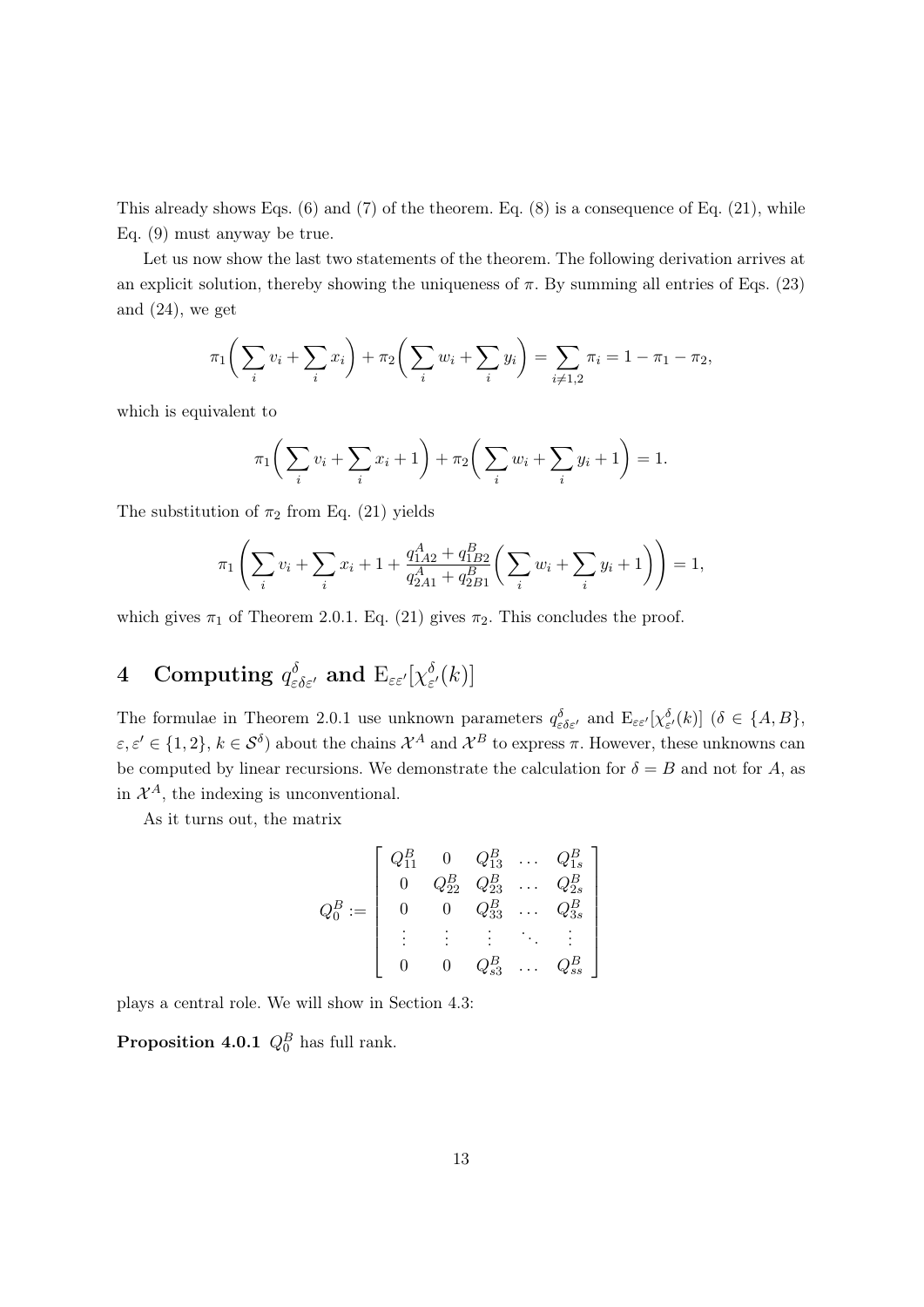This already shows Eqs. (6) and (7) of the theorem. Eq. (8) is a consequence of Eq. (21), while Eq. (9) must anyway be true.

Let us now show the last two statements of the theorem. The following derivation arrives at an explicit solution, thereby showing the uniqueness of  $\pi$ . By summing all entries of Eqs. (23) and (24), we get

$$
\pi_1\bigg(\sum_i v_i + \sum_i x_i\bigg) + \pi_2\bigg(\sum_i w_i + \sum_i y_i\bigg) = \sum_{i \neq 1,2} \pi_i = 1 - \pi_1 - \pi_2,
$$

which is equivalent to

$$
\pi_1 \bigg( \sum_i v_i + \sum_i x_i + 1 \bigg) + \pi_2 \bigg( \sum_i w_i + \sum_i y_i + 1 \bigg) = 1.
$$

The substitution of  $\pi_2$  from Eq. (21) yields

$$
\pi_1 \left( \sum_i v_i + \sum_i x_i + 1 + \frac{q_{1A2}^A + q_{1B2}^B}{q_{2A1}^A + q_{2B1}^B} \left( \sum_i w_i + \sum_i y_i + 1 \right) \right) = 1,
$$

which gives  $\pi_1$  of Theorem 2.0.1. Eq. (21) gives  $\pi_2$ . This concludes the proof.

#### $4 \quad \textbf{Computing} \,\, q^\delta_{\varepsilon\delta\varepsilon'} \text{ and } \operatorname{E}_{\varepsilon\varepsilon'}[\chi^\delta_\varepsilon$  $_{\varepsilon^{\prime}}^{\mathfrak{d}}(k)]$

The formulae in Theorem 2.0.1 use unknown parameters  $q_{\varepsilon\delta\varepsilon'}^{\delta}$  and  $E_{\varepsilon\varepsilon'}[\chi_{\varepsilon'}^{\delta}(k)]$  ( $\delta \in \{A, B\}$ ,  $\varepsilon, \varepsilon' \in \{1,2\}, k \in S^{\delta}$  about the chains  $\mathcal{X}^A$  and  $\mathcal{X}^B$  to express  $\pi$ . However, these unknowns can be computed by linear recursions. We demonstrate the calculation for  $\delta = B$  and not for A, as in  $\mathcal{X}^A$ , the indexing is unconventional.

As it turns out, the matrix

$$
Q_0^B := \left[ \begin{array}{cccc} Q_{11}^B & 0 & Q_{13}^B & \ldots & Q_{1s}^B \\ 0 & Q_{22}^B & Q_{23}^B & \ldots & Q_{2s}^B \\ 0 & 0 & Q_{33}^B & \ldots & Q_{3s}^B \\ \vdots & \vdots & \vdots & \ddots & \vdots \\ 0 & 0 & Q_{s3}^B & \ldots & Q_{ss}^B \end{array} \right]
$$

plays a central role. We will show in Section 4.3:

**Proposition 4.0.1**  $Q_0^B$  has full rank.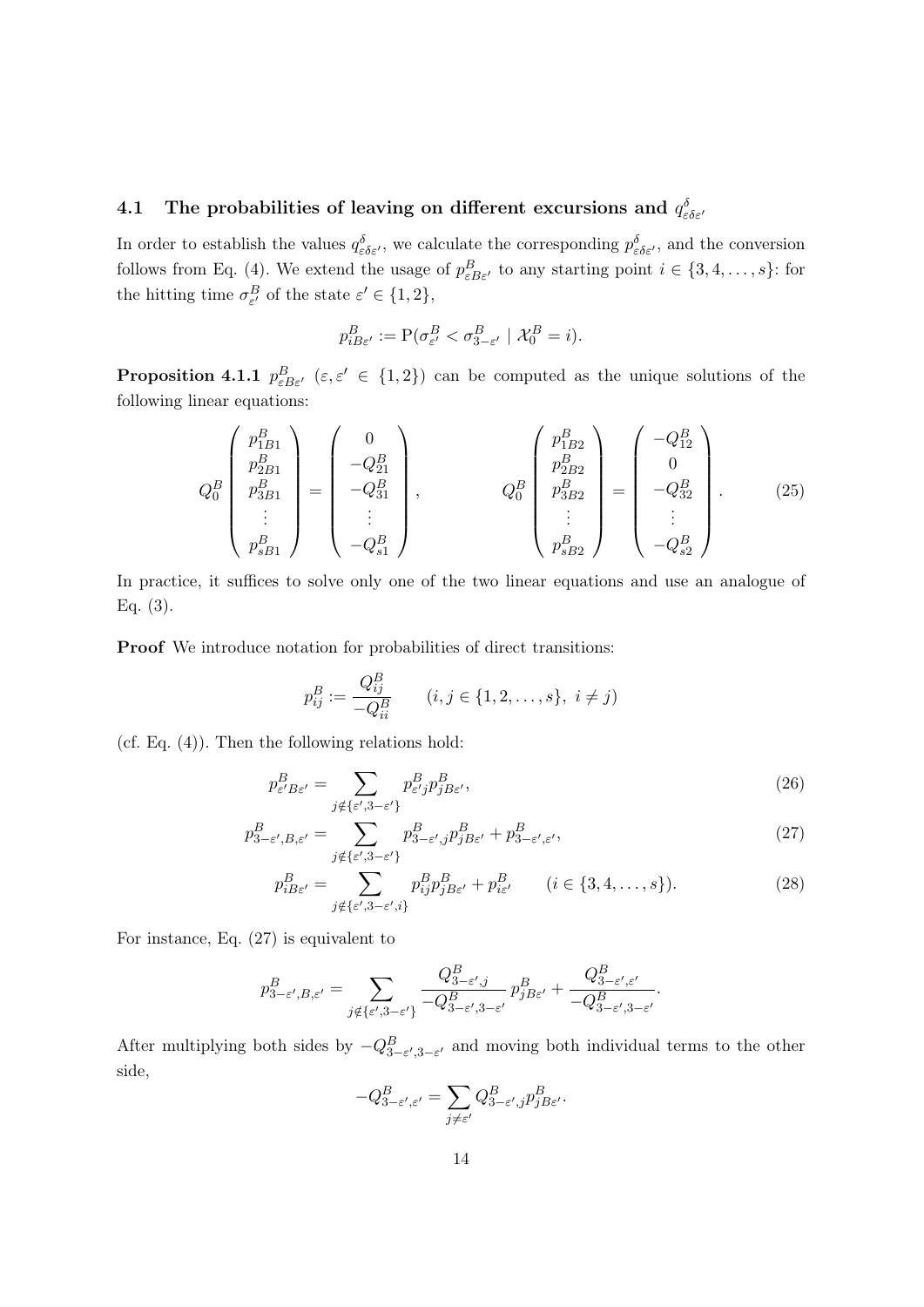# 4.1 The probabilities of leaving on different excursions and  $q_{\varepsilon\delta\varepsilon'}^{\delta}$

In order to establish the values  $q_{\varepsilon\delta\varepsilon'}^{\delta}$ , we calculate the corresponding  $p_{\varepsilon\delta\varepsilon'}^{\delta}$ , and the conversion follows from Eq. (4). We extend the usage of  $p_{\varepsilon B \varepsilon'}^{B}$  to any starting point  $i \in \{3, 4, ..., s\}$ : for the hitting time  $\sigma_{\varepsilon'}^B$  of the state  $\varepsilon' \in \{1,2\},\$ 

$$
p_{iB\varepsilon'}^B := \mathcal{P}(\sigma_{\varepsilon'}^B < \sigma_{3-\varepsilon'}^B \mid \mathcal{X}_0^B = i).
$$

**Proposition 4.1.1**  $p_{\varepsilon B \varepsilon'}^B$  ( $\varepsilon, \varepsilon' \in \{1, 2\}$ ) can be computed as the unique solutions of the following linear equations:

$$
Q_0^B \begin{pmatrix} p_{1B1}^B \\ p_{2B1}^B \\ p_{3B1}^B \\ \vdots \\ p_{sB1}^B \end{pmatrix} = \begin{pmatrix} 0 \\ -Q_{21}^B \\ -Q_{31}^B \\ \vdots \\ -Q_{s1}^B \end{pmatrix}, \qquad Q_0^B \begin{pmatrix} p_{1B2}^B \\ p_{2B2}^B \\ p_{3B2}^B \\ \vdots \\ p_{sB2}^B \end{pmatrix} = \begin{pmatrix} -Q_{12}^B \\ 0 \\ -Q_{32}^B \\ \vdots \\ -Q_{s2}^B \end{pmatrix}.
$$
 (25)

In practice, it suffices to solve only one of the two linear equations and use an analogue of Eq. (3).

Proof We introduce notation for probabilities of direct transitions:

$$
p_{ij}^B := \frac{Q_{ij}^B}{-Q_{ii}^B} \qquad (i, j \in \{1, 2, \dots, s\}, \ i \neq j)
$$

(cf. Eq. (4)). Then the following relations hold:

$$
p_{\varepsilon' B \varepsilon'}^B = \sum_{j \notin \{\varepsilon', 3 - \varepsilon'\}} p_{\varepsilon' j}^B p_{j B \varepsilon'}^B,
$$
\n(26)

$$
p_{3-\varepsilon',B,\varepsilon'}^B = \sum_{j \notin \{\varepsilon', 3-\varepsilon'\}} p_{3-\varepsilon',j}^B p_{jB\varepsilon'}^B + p_{3-\varepsilon',\varepsilon'}^B,
$$
\n(27)

$$
p_{iB\varepsilon'}^{B} = \sum_{j \notin \{\varepsilon', 3 - \varepsilon', i\}} p_{ij}^{B} p_{jB\varepsilon'}^{B} + p_{i\varepsilon'}^{B} \qquad (i \in \{3, 4, \dots, s\}).
$$
 (28)

For instance, Eq. (27) is equivalent to

$$
p_{3-\varepsilon',B,\varepsilon'}^B = \sum_{j \notin \{\varepsilon', 3-\varepsilon'\}} \frac{Q_{3-\varepsilon',j}^B}{-Q_{3-\varepsilon',3-\varepsilon'}^B} p_{jB\varepsilon'}^B + \frac{Q_{3-\varepsilon',\varepsilon'}^B}{-Q_{3-\varepsilon',3-\varepsilon'}^B}.
$$

After multiplying both sides by  $-Q_{3-\varepsilon',3-\varepsilon'}^B$  and moving both individual terms to the other side,

$$
-Q_{3-\varepsilon',\varepsilon'}^B = \sum_{j \neq \varepsilon'} Q_{3-\varepsilon',j}^B p_{jB\varepsilon'}^B.
$$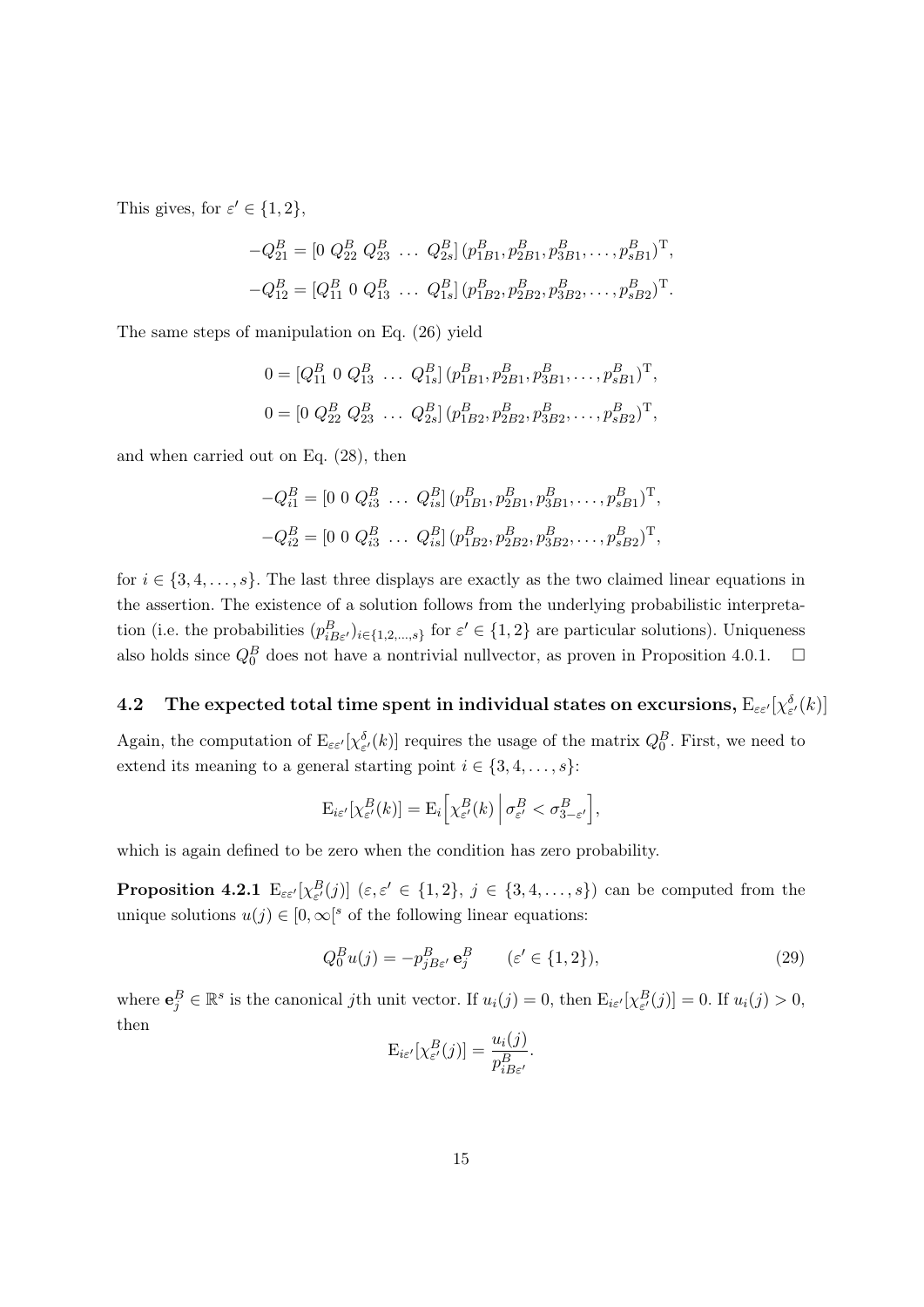This gives, for  $\varepsilon' \in \{1, 2\}$ ,

$$
-Q_{21}^{B} = [0 \t Q_{22}^{B} \t Q_{23}^{B} \t ... \t Q_{2s}^{B}] (p_{1B1}^{B}, p_{2B1}^{B}, p_{3B1}^{B}, ..., p_{sB1}^{B})^{T},
$$
  

$$
-Q_{12}^{B} = [Q_{11}^{B} \t Q_{13}^{B} ... Q_{1s}^{B}] (p_{1B2}^{B}, p_{2B2}^{B}, p_{3B2}^{B}, ..., p_{sB2}^{B})^{T}.
$$

The same steps of manipulation on Eq. (26) yield

$$
0 = [Q_{11}^{B} \ 0 \ Q_{13}^{B} \ \dots \ Q_{1s}^{B}] (p_{1B1}^{B}, p_{2B1}^{B}, p_{3B1}^{B}, \dots, p_{sB1}^{B})^{T},
$$
  

$$
0 = [0 \ Q_{22}^{B} \ Q_{23}^{B} \ \dots \ Q_{2s}^{B}] (p_{1B2}^{B}, p_{2B2}^{B}, p_{3B2}^{B}, \dots, p_{sB2}^{B})^{T},
$$

and when carried out on Eq. (28), then

$$
-Q_{i1}^{B} = [0 \ 0 \ Q_{i3}^{B} \ \dots \ Q_{is}^{B}] (p_{1B1}^{B}, p_{2B1}^{B}, p_{3B1}^{B}, \dots, p_{sB1}^{B})^{\mathrm{T}},
$$
  

$$
-Q_{i2}^{B} = [0 \ 0 \ Q_{i3}^{B} \ \dots \ Q_{is}^{B}] (p_{1B2}^{B}, p_{2B2}^{B}, p_{3B2}^{B}, \dots, p_{sB2}^{B})^{\mathrm{T}},
$$

for  $i \in \{3, 4, \ldots, s\}$ . The last three displays are exactly as the two claimed linear equations in the assertion. The existence of a solution follows from the underlying probabilistic interpretation (i.e. the probabilities  $(p_{iB\varepsilon}^{B})_{i\in\{1,2,\ldots,s\}}$  for  $\varepsilon' \in \{1,2\}$  are particular solutions). Uniqueness also holds since  $Q_0^B$  does not have a nontrivial nullvector, as proven in Proposition 4.0.1.  $\Box$ 

# $\textbf{4.2}\quad \textbf{The expected total time spent in individual states on excursions, }\mathrm{E}_{\varepsilon\varepsilon'}[\chi_{\varepsilon'}^{\delta}(k)]$

Again, the computation of  $E_{\varepsilon \varepsilon'}[\chi_{\varepsilon'}^{\delta}(k)]$  requires the usage of the matrix  $Q_0^B$ . First, we need to extend its meaning to a general starting point  $i \in \{3, 4, \ldots, s\}$ :

$$
\mathrm{E}_{i\varepsilon'}[\chi^B_{\varepsilon'}(k)] = \mathrm{E}_i\Big[\chi^B_{\varepsilon'}(k)\,\Big|\,\sigma^B_{\varepsilon'} < \sigma^B_{3-\varepsilon'}\Big],
$$

which is again defined to be zero when the condition has zero probability.

**Proposition 4.2.1**  $E_{\varepsilon \varepsilon'}[\chi^B_{\varepsilon'}(j)]$  ( $\varepsilon, \varepsilon' \in \{1, 2\}, \ j \in \{3, 4, \ldots, s\}$ ) can be computed from the unique solutions  $u(j) \in [0,\infty]^s$  of the following linear equations:

$$
Q_0^B u(j) = -p_{jB\varepsilon'}^B \mathbf{e}_j^B \qquad (\varepsilon' \in \{1, 2\}), \tag{29}
$$

where  $\mathbf{e}_j^B \in \mathbb{R}^s$  is the canonical jth unit vector. If  $u_i(j) = 0$ , then  $E_{i\epsilon'}[\chi_{\epsilon'}^B(j)] = 0$ . If  $u_i(j) > 0$ , then

$$
\mathrm{E}_{i\varepsilon'}[\chi^B_{\varepsilon'}(j)] = \frac{u_i(j)}{p^B_{iB\varepsilon'}}.
$$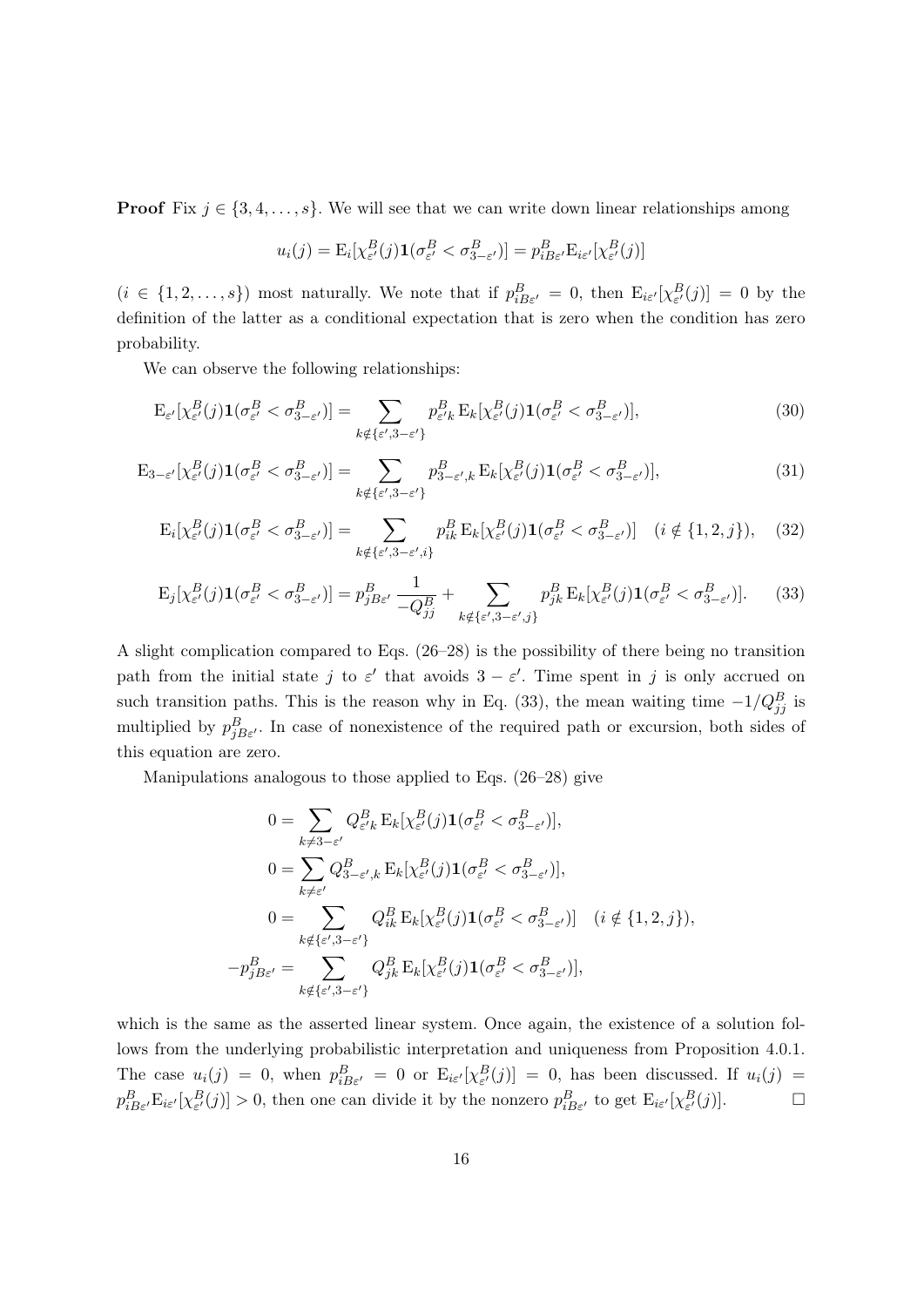**Proof** Fix  $j \in \{3, 4, \ldots, s\}$ . We will see that we can write down linear relationships among

$$
u_i(j) = \mathrm{E}_i[\chi^B_{\varepsilon'}(j)\mathbf{1}(\sigma^B_{\varepsilon'} < \sigma^B_{3-\varepsilon'})] = p^B_{iB\varepsilon'}\mathrm{E}_{i\varepsilon'}[\chi^B_{\varepsilon'}(j)]
$$

 $(i \in \{1, 2, \ldots, s\})$  most naturally. We note that if  $p_{i B \varepsilon'}^B = 0$ , then  $E_{i \varepsilon'}[\chi_{\varepsilon'}^B(j)] = 0$  by the definition of the latter as a conditional expectation that is zero when the condition has zero probability.

We can observe the following relationships:

$$
\mathcal{E}_{\varepsilon'}[\chi_{\varepsilon'}^B(j)\mathbf{1}(\sigma_{\varepsilon'}^B < \sigma_{3-\varepsilon'}^B)] = \sum_{k \notin \{\varepsilon', 3-\varepsilon'\}} p_{\varepsilon' k}^B \mathcal{E}_k[\chi_{\varepsilon'}^B(j)\mathbf{1}(\sigma_{\varepsilon'}^B < \sigma_{3-\varepsilon'}^B)],\tag{30}
$$

$$
\mathcal{E}_{3-\varepsilon'}[\chi^B_{\varepsilon'}(j)\mathbf{1}(\sigma^B_{\varepsilon'}<\sigma^B_{3-\varepsilon'})] = \sum_{k \notin \{\varepsilon', 3-\varepsilon'\}} p^B_{3-\varepsilon',k} \mathcal{E}_k[\chi^B_{\varepsilon'}(j)\mathbf{1}(\sigma^B_{\varepsilon'}<\sigma^B_{3-\varepsilon'})],\tag{31}
$$

$$
E_i[\chi^B_{\varepsilon'}(j)\mathbf{1}(\sigma^B_{\varepsilon'} < \sigma^B_{3-\varepsilon'})] = \sum_{k \notin \{\varepsilon', 3-\varepsilon', i\}} p^B_{ik} E_k[\chi^B_{\varepsilon'}(j)\mathbf{1}(\sigma^B_{\varepsilon'} < \sigma^B_{3-\varepsilon'})] \quad (i \notin \{1, 2, j\}), \quad (32)
$$

$$
\mathcal{E}_j[\chi^B_{\varepsilon'}(j)\mathbf{1}(\sigma^B_{\varepsilon'} < \sigma^B_{3-\varepsilon'})] = p^B_{jB\varepsilon'} \frac{1}{-Q^B_{jj}} + \sum_{k \notin \{\varepsilon', 3-\varepsilon', j\}} p^B_{jk} \mathcal{E}_k[\chi^B_{\varepsilon'}(j)\mathbf{1}(\sigma^B_{\varepsilon'} < \sigma^B_{3-\varepsilon'})].
$$
 (33)

A slight complication compared to Eqs. (26–28) is the possibility of there being no transition path from the initial state j to  $\varepsilon'$  that avoids  $3 - \varepsilon'$ . Time spent in j is only accrued on such transition paths. This is the reason why in Eq. (33), the mean waiting time  $-1/Q_{jj}^B$  is multiplied by  $p_{jB\varepsilon}^{B}$ . In case of nonexistence of the required path or excursion, both sides of this equation are zero.

Manipulations analogous to those applied to Eqs. (26–28) give

$$
0 = \sum_{k \neq 3-\varepsilon'} Q_{\varepsilon' k}^{B} E_{k} [\chi_{\varepsilon'}^{B}(j) \mathbf{1}(\sigma_{\varepsilon'}^{B} < \sigma_{3-\varepsilon'}^{B})],
$$
  
\n
$$
0 = \sum_{k \neq \varepsilon'} Q_{3-\varepsilon',k}^{B} E_{k} [\chi_{\varepsilon'}^{B}(j) \mathbf{1}(\sigma_{\varepsilon'}^{B} < \sigma_{3-\varepsilon'}^{B})],
$$
  
\n
$$
0 = \sum_{k \notin \{\varepsilon', 3-\varepsilon'\}} Q_{ik}^{B} E_{k} [\chi_{\varepsilon'}^{B}(j) \mathbf{1}(\sigma_{\varepsilon'}^{B} < \sigma_{3-\varepsilon'}^{B})] \quad (i \notin \{1, 2, j\}),
$$
  
\n
$$
-p_{jB\varepsilon'}^{B} = \sum_{k \notin \{\varepsilon', 3-\varepsilon'\}} Q_{jk}^{B} E_{k} [\chi_{\varepsilon'}^{B}(j) \mathbf{1}(\sigma_{\varepsilon'}^{B} < \sigma_{3-\varepsilon'}^{B})],
$$

which is the same as the asserted linear system. Once again, the existence of a solution follows from the underlying probabilistic interpretation and uniqueness from Proposition 4.0.1. The case  $u_i(j) = 0$ , when  $p_{iB\varepsilon'}^B = 0$  or  $E_{i\varepsilon'}[\chi_{\varepsilon'}^B(j)] = 0$ , has been discussed. If  $u_i(j) =$  $p_{iB\varepsilon'}^B \mathbf{E}_{i\varepsilon'}[\chi_{\varepsilon'}^B(j)] > 0$ , then one can divide it by the nonzero  $p_{iB\varepsilon'}^B$  to get  $\mathbf{E}_{i\varepsilon'}[\chi_{\varepsilon'}^B(j)]$ .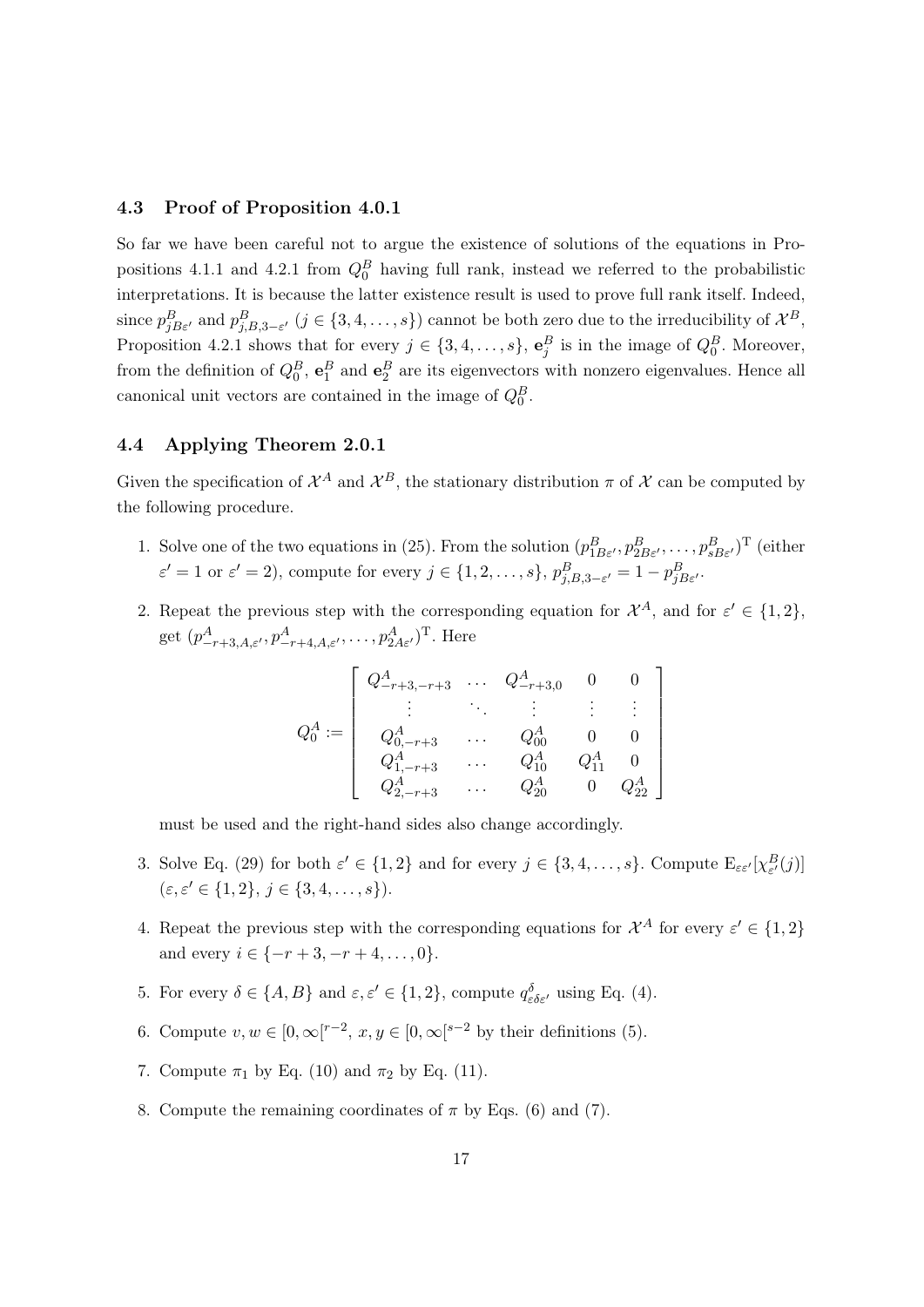### 4.3 Proof of Proposition 4.0.1

So far we have been careful not to argue the existence of solutions of the equations in Propositions 4.1.1 and 4.2.1 from  $Q_0^B$  having full rank, instead we referred to the probabilistic interpretations. It is because the latter existence result is used to prove full rank itself. Indeed, since  $p_{jB\varepsilon'}^B$  and  $p_{j,B,3-\varepsilon'}^B$   $(j \in \{3,4,\ldots,s\})$  cannot be both zero due to the irreducibility of  $\mathcal{X}^B$ , Proposition 4.2.1 shows that for every  $j \in \{3, 4, \ldots, s\}$ ,  $\mathbf{e}_j^B$  is in the image of  $Q_0^B$ . Moreover, from the definition of  $Q_0^B$ ,  $\mathbf{e}_1^B$  and  $\mathbf{e}_2^B$  are its eigenvectors with nonzero eigenvalues. Hence all canonical unit vectors are contained in the image of  $Q_0^B$ .

### 4.4 Applying Theorem 2.0.1

Given the specification of  $\mathcal{X}^A$  and  $\mathcal{X}^B$ , the stationary distribution  $\pi$  of  $\mathcal X$  can be computed by the following procedure.

- 1. Solve one of the two equations in (25). From the solution  $(p_{1B\varepsilon}^B, p_{2B\varepsilon'}^B, \ldots, p_{sB\varepsilon'}^B)^T$  (either  $\varepsilon' = 1$  or  $\varepsilon' = 2$ ), compute for every  $j \in \{1, 2, \ldots, s\}$ ,  $p_{j, B, 3-\varepsilon'}^B = 1 - p_{jB\varepsilon'}^B$ .
- 2. Repeat the previous step with the corresponding equation for  $\mathcal{X}^A$ , and for  $\varepsilon' \in \{1,2\}$ , get  $(p_{-r+3,A,\varepsilon}^A, p_{-r+4,A,\varepsilon}^A, \ldots, p_{2A\varepsilon}^A)$ <sup>T</sup>. Here

|           | $Q^A_{-r+3,-r+3}$      | $\sim 100$ | $Q^A_{-r+3,0}$ |            |
|-----------|------------------------|------------|----------------|------------|
|           |                        |            |                |            |
| $Q^A_0:=$ | $Q_{0,-r+3}^{A}$       |            | $Q^A_{00}$     |            |
|           | $Q^A_{1,-r+3}$         |            | $Q_{10}^A$     |            |
|           | $\mathcal{U}_{2,-r+3}$ |            | $Q^A_{20}$     | $C_{22}^A$ |

must be used and the right-hand sides also change accordingly.

- 3. Solve Eq. (29) for both  $\varepsilon' \in \{1,2\}$  and for every  $j \in \{3,4,\ldots,s\}$ . Compute  $E_{\varepsilon \varepsilon'}[\chi^B_{\varepsilon'}(j)]$  $(\varepsilon, \varepsilon' \in \{1, 2\}, \, j \in \{3, 4, \dots, s\}).$
- 4. Repeat the previous step with the corresponding equations for  $\mathcal{X}^A$  for every  $\varepsilon' \in \{1,2\}$ and every  $i \in \{-r+3, -r+4, \ldots, 0\}.$
- 5. For every  $\delta \in \{A, B\}$  and  $\varepsilon, \varepsilon' \in \{1, 2\}$ , compute  $q_{\varepsilon \delta \varepsilon'}^{\delta}$  using Eq. (4).
- 6. Compute  $v, w \in [0, \infty[^{r-2}, x, y \in [0, \infty[^{s-2}]$  by their definitions (5).
- 7. Compute  $\pi_1$  by Eq. (10) and  $\pi_2$  by Eq. (11).
- 8. Compute the remaining coordinates of  $\pi$  by Eqs. (6) and (7).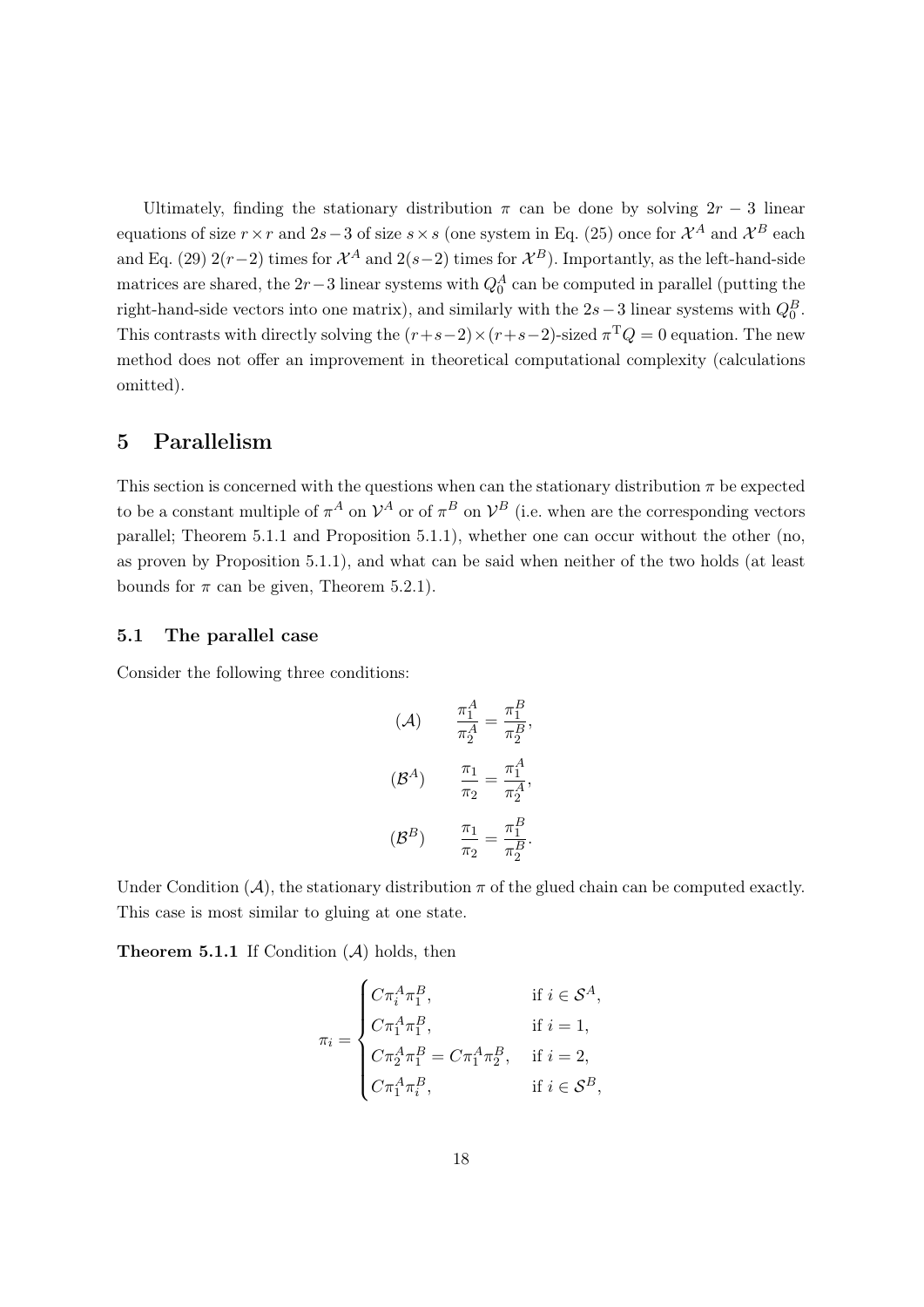Ultimately, finding the stationary distribution  $\pi$  can be done by solving  $2r - 3$  linear equations of size  $r \times r$  and  $2s-3$  of size  $s \times s$  (one system in Eq. (25) once for  $\mathcal{X}^A$  and  $\mathcal{X}^B$  each and Eq. (29) 2(r-2) times for  $\mathcal{X}^A$  and 2(s-2) times for  $\mathcal{X}^B$ ). Importantly, as the left-hand-side matrices are shared, the  $2r-3$  linear systems with  $Q_0^A$  can be computed in parallel (putting the right-hand-side vectors into one matrix), and similarly with the  $2s-3$  linear systems with  $Q_0^B$ . This contrasts with directly solving the  $(r+s-2) \times (r+s-2)$ -sized  $\pi^T Q = 0$  equation. The new method does not offer an improvement in theoretical computational complexity (calculations omitted).

# 5 Parallelism

This section is concerned with the questions when can the stationary distribution  $\pi$  be expected to be a constant multiple of  $\pi^A$  on  $\mathcal{V}^A$  or of  $\pi^B$  on  $\mathcal{V}^B$  (i.e. when are the corresponding vectors parallel; Theorem 5.1.1 and Proposition 5.1.1), whether one can occur without the other (no, as proven by Proposition 5.1.1), and what can be said when neither of the two holds (at least bounds for  $\pi$  can be given, Theorem 5.2.1).

### 5.1 The parallel case

Consider the following three conditions:

$$
(A) \frac{\pi_1^A}{\pi_2^A} = \frac{\pi_1^B}{\pi_2^B},
$$

$$
(B^A) \frac{\pi_1}{\pi_2} = \frac{\pi_1^A}{\pi_2^A},
$$

$$
(B^B) \frac{\pi_1}{\pi_2} = \frac{\pi_1^B}{\pi_2^B}.
$$

Under Condition  $(A)$ , the stationary distribution  $\pi$  of the glued chain can be computed exactly. This case is most similar to gluing at one state.

**Theorem 5.1.1** If Condition  $(A)$  holds, then

$$
\pi_i = \begin{cases}\nC\pi_i^A \pi_1^B, & \text{if } i \in \mathcal{S}^A, \\
C\pi_1^A \pi_1^B, & \text{if } i = 1, \\
C\pi_2^A \pi_1^B = C\pi_1^A \pi_2^B, & \text{if } i = 2, \\
C\pi_1^A \pi_i^B, & \text{if } i \in \mathcal{S}^B,\n\end{cases}
$$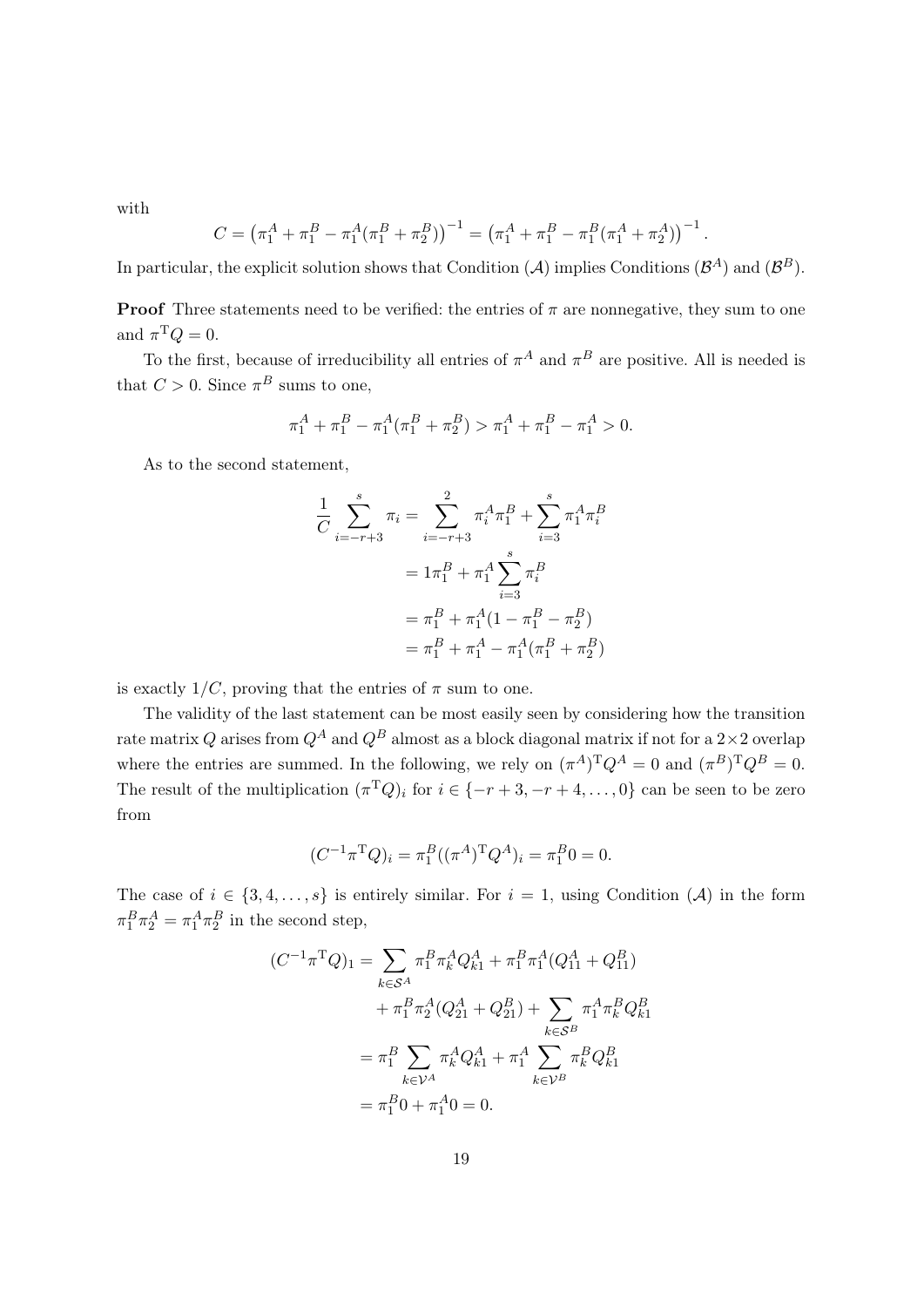with

$$
C = \left(\pi_1^A + \pi_1^B - \pi_1^A(\pi_1^B + \pi_2^B)\right)^{-1} = \left(\pi_1^A + \pi_1^B - \pi_1^B(\pi_1^A + \pi_2^A)\right)^{-1}
$$

.

In particular, the explicit solution shows that Condition (A) implies Conditions  $(\mathcal{B}^A)$  and  $(\mathcal{B}^B)$ .

**Proof** Three statements need to be verified: the entries of  $\pi$  are nonnegative, they sum to one and  $\pi^{\mathrm{T}} Q = 0$ .

To the first, because of irreducibility all entries of  $\pi^A$  and  $\pi^B$  are positive. All is needed is that  $C > 0$ . Since  $\pi^B$  sums to one,

$$
\pi_1^A+\pi_1^B-\pi_1^A(\pi_1^B+\pi_2^B)>\pi_1^A+\pi_1^B-\pi_1^A>0.
$$

As to the second statement,

$$
\frac{1}{C} \sum_{i=-r+3}^{s} \pi_i = \sum_{i=-r+3}^{2} \pi_i^A \pi_1^B + \sum_{i=3}^{s} \pi_1^A \pi_i^B
$$

$$
= 1\pi_1^B + \pi_1^A \sum_{i=3}^{s} \pi_i^B
$$

$$
= \pi_1^B + \pi_1^A (1 - \pi_1^B - \pi_2^B)
$$

$$
= \pi_1^B + \pi_1^A - \pi_1^A (\pi_1^B + \pi_2^B)
$$

is exactly  $1/C$ , proving that the entries of  $\pi$  sum to one.

The validity of the last statement can be most easily seen by considering how the transition rate matrix Q arises from  $Q^A$  and  $Q^B$  almost as a block diagonal matrix if not for a  $2\times 2$  overlap where the entries are summed. In the following, we rely on  $(\pi^A)^T Q^A = 0$  and  $(\pi^B)^T Q^B = 0$ . The result of the multiplication  $(\pi^T Q)_i$  for  $i \in \{-r+3, -r+4, \ldots, 0\}$  can be seen to be zero from

$$
(C^{-1}\pi^{\mathrm{T}}Q)_i = \pi_1^B((\pi^A)^{\mathrm{T}}Q^A)_i = \pi_1^B 0 = 0.
$$

The case of  $i \in \{3, 4, \ldots, s\}$  is entirely similar. For  $i = 1$ , using Condition (A) in the form  $\pi_1^B \pi_2^A = \pi_1^A \pi_2^B$  in the second step,

$$
(C^{-1}\pi^{\mathrm{T}}Q)_{1} = \sum_{k \in \mathcal{S}^{A}} \pi_{1}^{B}\pi_{k}^{A}Q_{k1}^{A} + \pi_{1}^{B}\pi_{1}^{A}(Q_{11}^{A} + Q_{11}^{B})
$$

$$
+ \pi_{1}^{B}\pi_{2}^{A}(Q_{21}^{A} + Q_{21}^{B}) + \sum_{k \in \mathcal{S}^{B}} \pi_{1}^{A}\pi_{k}^{B}Q_{k1}^{B}
$$

$$
= \pi_{1}^{B} \sum_{k \in \mathcal{V}^{A}} \pi_{k}^{A}Q_{k1}^{A} + \pi_{1}^{A} \sum_{k \in \mathcal{V}^{B}} \pi_{k}^{B}Q_{k1}^{B}
$$

$$
= \pi_{1}^{B}0 + \pi_{1}^{A}0 = 0.
$$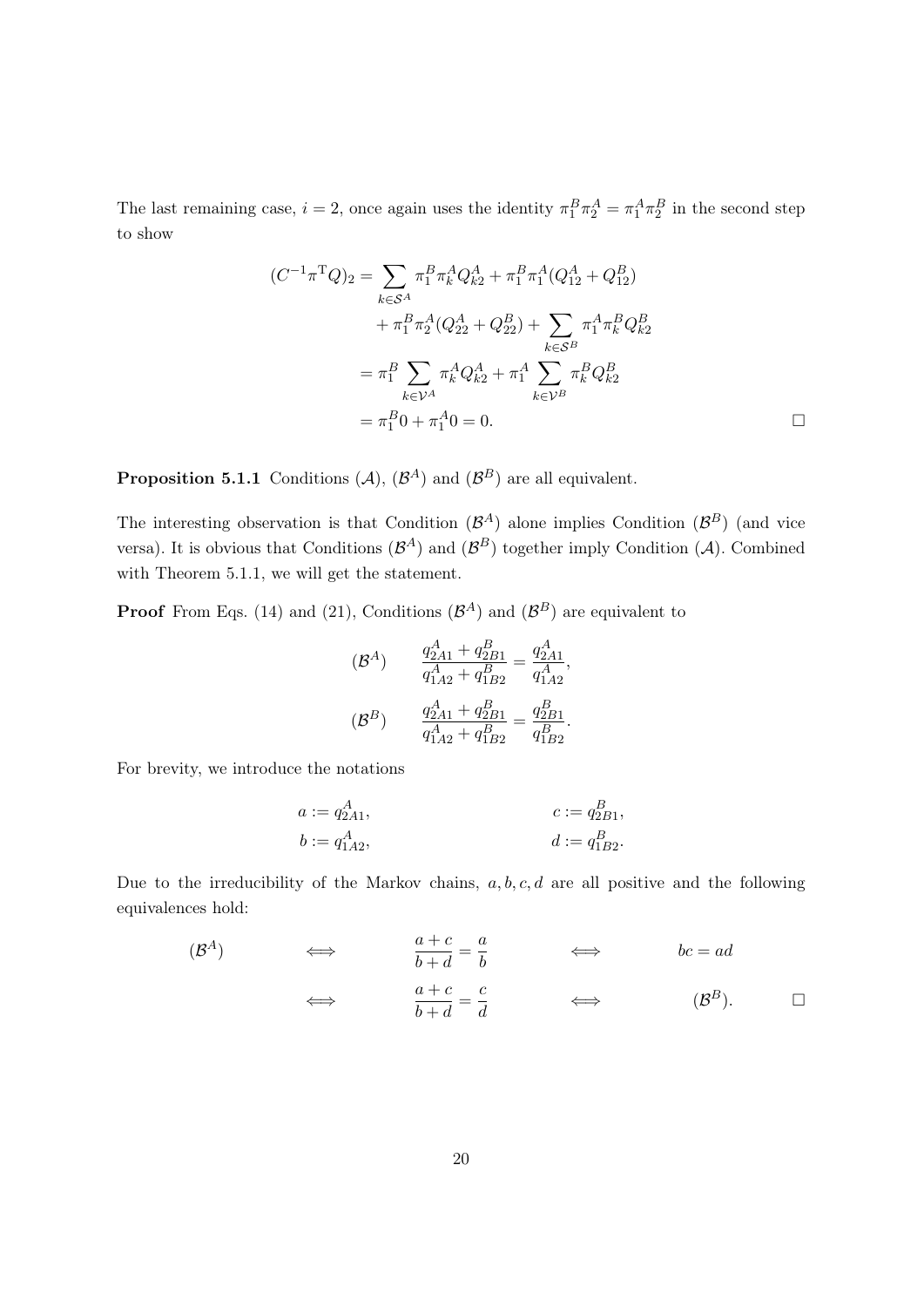The last remaining case,  $i = 2$ , once again uses the identity  $\pi_1^B \pi_2^A = \pi_1^A \pi_2^B$  in the second step to show

$$
(C^{-1}\pi^{\mathrm{T}}Q)_{2} = \sum_{k \in \mathcal{S}^{A}} \pi_{1}^{B} \pi_{k}^{A} Q_{k2}^{A} + \pi_{1}^{B} \pi_{1}^{A} (Q_{12}^{A} + Q_{12}^{B})
$$
  

$$
+ \pi_{1}^{B} \pi_{2}^{A} (Q_{22}^{A} + Q_{22}^{B}) + \sum_{k \in \mathcal{S}^{B}} \pi_{1}^{A} \pi_{k}^{B} Q_{k2}^{B}
$$
  

$$
= \pi_{1}^{B} \sum_{k \in \mathcal{V}^{A}} \pi_{k}^{A} Q_{k2}^{A} + \pi_{1}^{A} \sum_{k \in \mathcal{V}^{B}} \pi_{k}^{B} Q_{k2}^{B}
$$
  

$$
= \pi_{1}^{B} 0 + \pi_{1}^{A} 0 = 0.
$$

**Proposition 5.1.1** Conditions  $(A)$ ,  $(B<sup>A</sup>)$  and  $(B<sup>B</sup>)$  are all equivalent.

The interesting observation is that Condition  $(\mathcal{B}^A)$  alone implies Condition  $(\mathcal{B}^B)$  (and vice versa). It is obvious that Conditions  $(\mathcal{B}^A)$  and  $(\mathcal{B}^B)$  together imply Condition (A). Combined with Theorem 5.1.1, we will get the statement.

**Proof** From Eqs. (14) and (21), Conditions  $(\mathcal{B}^{A})$  and  $(\mathcal{B}^{B})$  are equivalent to

$$
\begin{aligned} \left(\mathcal{B}^A\right) \qquad &\frac{q_{2A1}^A + q_{2B1}^B}{q_{1A2}^A + q_{1B2}^B} = \frac{q_{2A1}^A}{q_{1A2}^A},\\ \left(\mathcal{B}^B\right) \qquad &\frac{q_{2A1}^A + q_{2B1}^B}{q_{1A2}^A + q_{1B2}^B} = \frac{q_{2B1}^B}{q_{1B2}^B}. \end{aligned}
$$

For brevity, we introduce the notations

$$
a := q_{2A1}^A,
$$
  
\n $b := q_{1A2}^A,$   
\n $c := q_{2B1}^B,$   
\n $d := q_{1B2}^B.$ 

Due to the irreducibility of the Markov chains,  $a, b, c, d$  are all positive and the following equivalences hold:

$$
\begin{array}{cccc}\n(B^A) & \Longleftrightarrow & \frac{a+c}{b+d} = \frac{a}{b} & \Longleftrightarrow & bc = ad \\
\Longleftrightarrow & \frac{a+c}{b+d} = \frac{c}{d} & \Longleftrightarrow & (B^B). \quad \Box\n\end{array}
$$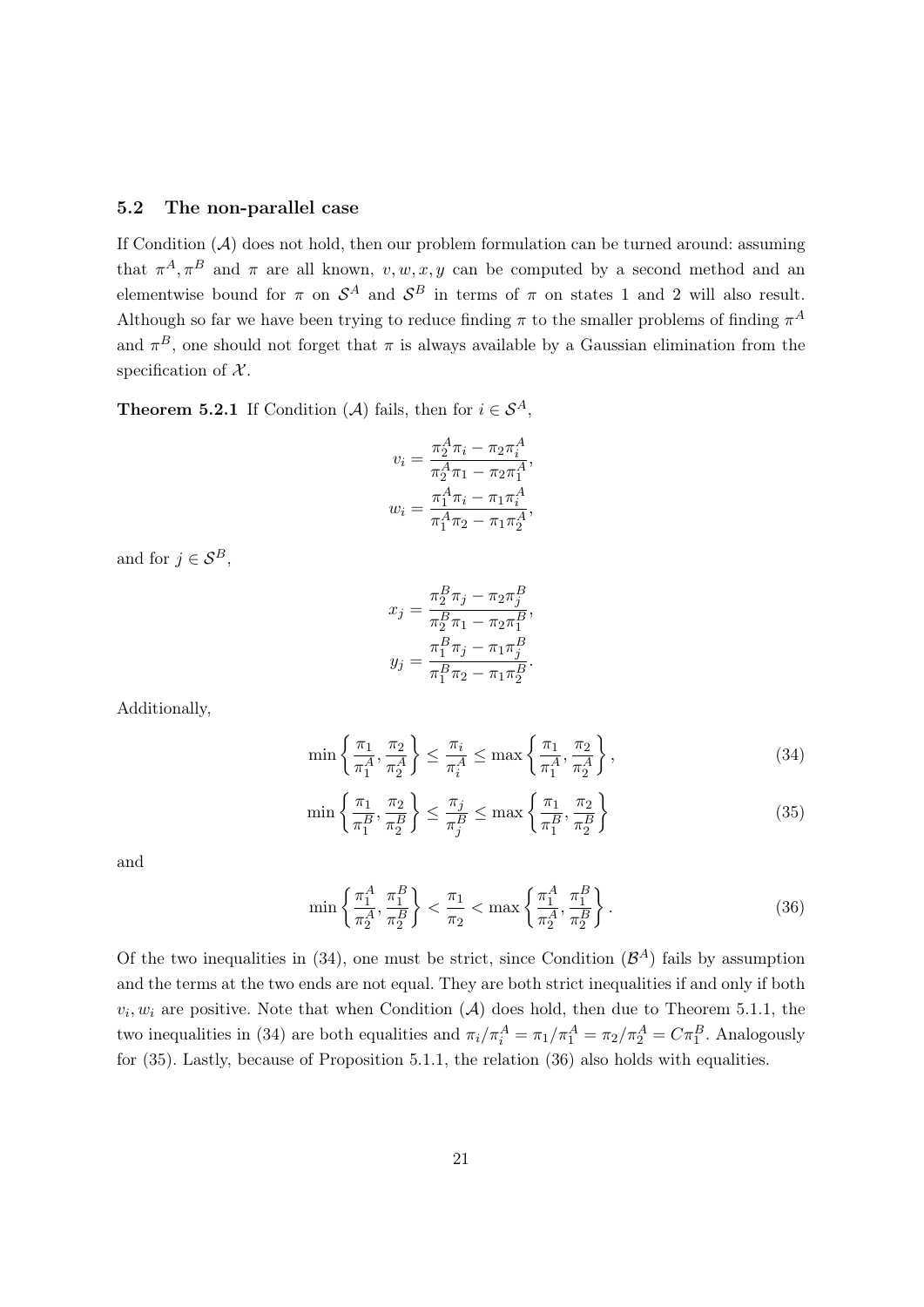#### 5.2 The non-parallel case

If Condition  $(A)$  does not hold, then our problem formulation can be turned around: assuming that  $\pi^A$ ,  $\pi^B$  and  $\pi$  are all known,  $v, w, x, y$  can be computed by a second method and an elementwise bound for  $\pi$  on  $\mathcal{S}^A$  and  $\mathcal{S}^B$  in terms of  $\pi$  on states 1 and 2 will also result. Although so far we have been trying to reduce finding  $\pi$  to the smaller problems of finding  $\pi^A$ and  $\pi^B$ , one should not forget that  $\pi$  is always available by a Gaussian elimination from the specification of  $X$ .

**Theorem 5.2.1** If Condition (A) fails, then for  $i \in S^A$ ,

$$
v_i = \frac{\pi_2^A \pi_i - \pi_2 \pi_i^A}{\pi_2^A \pi_1 - \pi_2 \pi_1^A},
$$

$$
w_i = \frac{\pi_1^A \pi_i - \pi_1 \pi_i^A}{\pi_1^A \pi_2 - \pi_1 \pi_2^A},
$$

and for  $j \in \mathcal{S}^B$ ,

$$
x_j = \frac{\pi_2^B \pi_j - \pi_2 \pi_j^B}{\pi_2^B \pi_1 - \pi_2 \pi_1^B},
$$
  

$$
y_j = \frac{\pi_1^B \pi_j - \pi_1 \pi_j^B}{\pi_1^B \pi_2 - \pi_1 \pi_2^B}.
$$

Additionally,

$$
\min\left\{\frac{\pi_1}{\pi_1^A}, \frac{\pi_2}{\pi_2^A}\right\} \le \frac{\pi_i}{\pi_i^A} \le \max\left\{\frac{\pi_1}{\pi_1^A}, \frac{\pi_2}{\pi_2^A}\right\},\tag{34}
$$

$$
\min\left\{\frac{\pi_1}{\pi_1^B}, \frac{\pi_2}{\pi_2^B}\right\} \le \frac{\pi_j}{\pi_j^B} \le \max\left\{\frac{\pi_1}{\pi_1^B}, \frac{\pi_2}{\pi_2^B}\right\} \tag{35}
$$

and

$$
\min\left\{\frac{\pi_1^A}{\pi_2^A}, \frac{\pi_1^B}{\pi_2^B}\right\} < \frac{\pi_1}{\pi_2} < \max\left\{\frac{\pi_1^A}{\pi_2^A}, \frac{\pi_1^B}{\pi_2^B}\right\}.\tag{36}
$$

Of the two inequalities in  $(34)$ , one must be strict, since Condition  $(\mathcal{B}^A)$  fails by assumption and the terms at the two ends are not equal. They are both strict inequalities if and only if both  $v_i, w_i$  are positive. Note that when Condition  $(A)$  does hold, then due to Theorem 5.1.1, the two inequalities in (34) are both equalities and  $\pi_i/\pi_i^A = \pi_1/\pi_1^A = \pi_2/\pi_2^A = C\pi_1^B$ . Analogously for (35). Lastly, because of Proposition 5.1.1, the relation (36) also holds with equalities.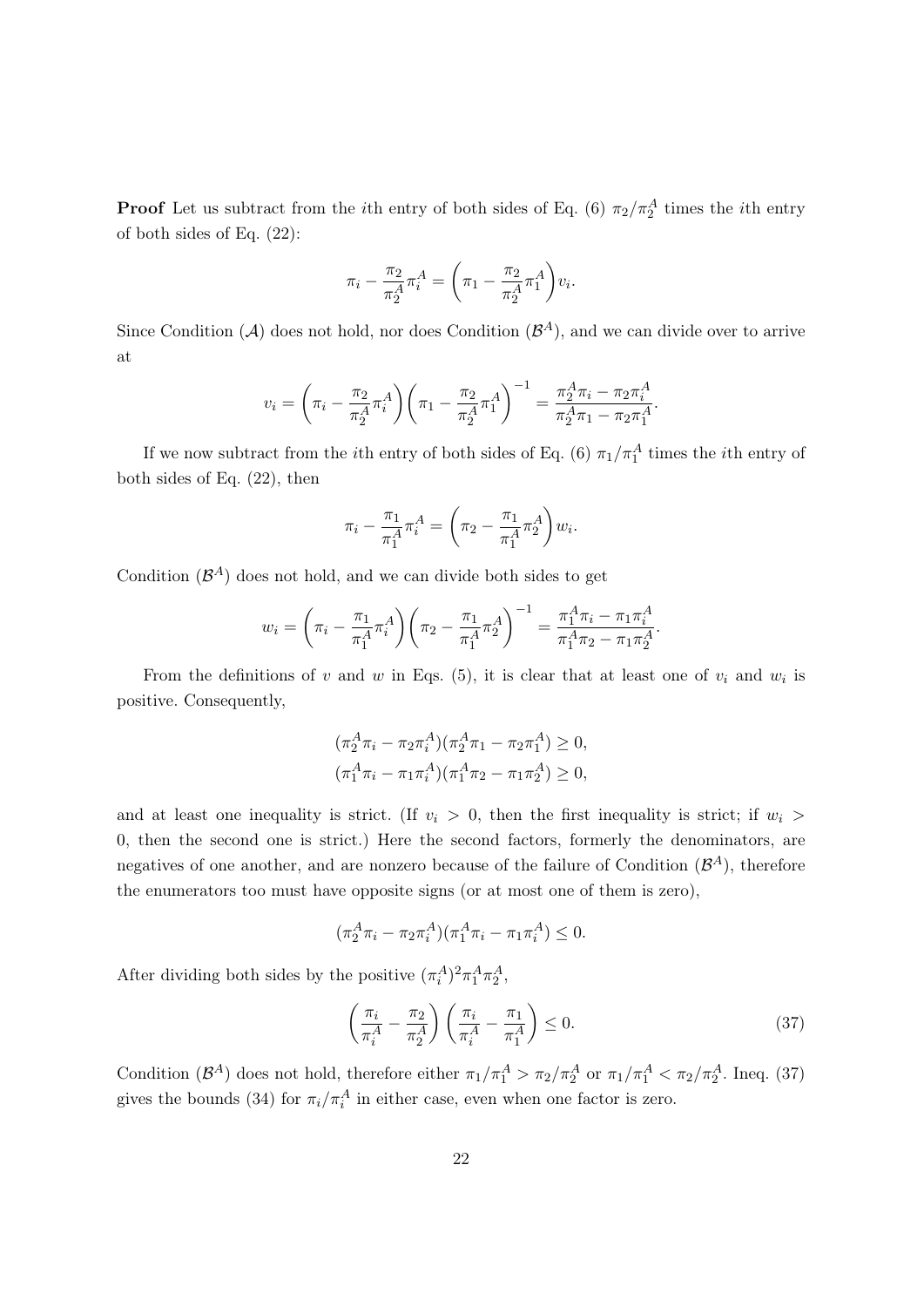**Proof** Let us subtract from the *i*th entry of both sides of Eq. (6)  $\pi_2/\pi_2^A$  times the *i*th entry of both sides of Eq. (22):

$$
\pi_i - \frac{\pi_2}{\pi_2^A} \pi_i^A = \left(\pi_1 - \frac{\pi_2}{\pi_2^A} \pi_1^A\right) v_i.
$$

Since Condition (A) does not hold, nor does Condition  $(\mathcal{B}^A)$ , and we can divide over to arrive at

$$
v_i = \left(\pi_i - \frac{\pi_2}{\pi_2^A} \pi_i^A\right) \left(\pi_1 - \frac{\pi_2}{\pi_2^A} \pi_1^A\right)^{-1} = \frac{\pi_2^A \pi_i - \pi_2 \pi_i^A}{\pi_2^A \pi_1 - \pi_2 \pi_1^A}.
$$

If we now subtract from the *i*<sup>th</sup> entry of both sides of Eq. (6)  $\pi_1/\pi_1^A$  times the *i*<sup>th</sup> entry of both sides of Eq. (22), then

$$
\pi_i - \frac{\pi_1}{\pi_1^A} \pi_i^A = \left(\pi_2 - \frac{\pi_1}{\pi_1^A} \pi_2^A\right) w_i.
$$

Condition  $(\mathcal{B}^A)$  does not hold, and we can divide both sides to get

$$
w_i = \left(\pi_i - \frac{\pi_1}{\pi_1^A} \pi_i^A\right) \left(\pi_2 - \frac{\pi_1}{\pi_1^A} \pi_2^A\right)^{-1} = \frac{\pi_1^A \pi_i - \pi_1 \pi_i^A}{\pi_1^A \pi_2 - \pi_1 \pi_2^A}.
$$

From the definitions of v and w in Eqs.  $(5)$ , it is clear that at least one of  $v_i$  and  $w_i$  is positive. Consequently,

$$
(\pi_2^A \pi_i - \pi_2 \pi_i^A)(\pi_2^A \pi_1 - \pi_2 \pi_1^A) \ge 0,
$$
  

$$
(\pi_1^A \pi_i - \pi_1 \pi_i^A)(\pi_1^A \pi_2 - \pi_1 \pi_2^A) \ge 0,
$$

and at least one inequality is strict. (If  $v_i > 0$ , then the first inequality is strict; if  $w_i >$ 0, then the second one is strict.) Here the second factors, formerly the denominators, are negatives of one another, and are nonzero because of the failure of Condition  $(\mathcal{B}^A)$ , therefore the enumerators too must have opposite signs (or at most one of them is zero),

$$
(\pi_2^A \pi_i - \pi_2 \pi_i^A)(\pi_1^A \pi_i - \pi_1 \pi_i^A) \le 0.
$$

After dividing both sides by the positive  $(\pi_i^A)^2 \pi_1^A \pi_2^A$ ,

$$
\left(\frac{\pi_i}{\pi_i^A} - \frac{\pi_2}{\pi_2^A}\right) \left(\frac{\pi_i}{\pi_i^A} - \frac{\pi_1}{\pi_1^A}\right) \le 0.
$$
\n(37)

Condition  $(\mathcal{B}^A)$  does not hold, therefore either  $\pi_1/\pi_1^A > \pi_2/\pi_2^A$  or  $\pi_1/\pi_1^A < \pi_2/\pi_2^A$ . Ineq. (37) gives the bounds (34) for  $\pi_i/\pi_i^A$  in either case, even when one factor is zero.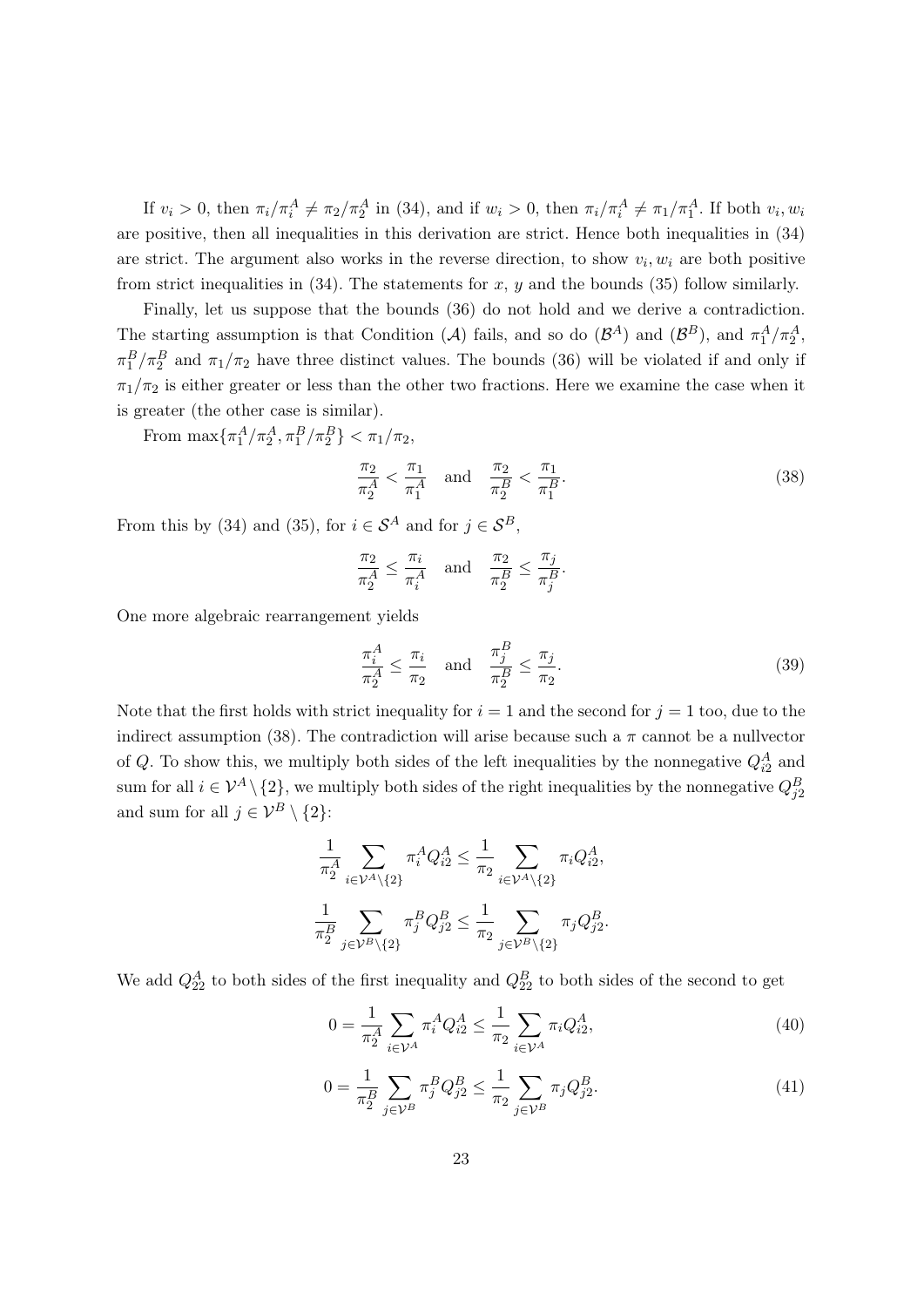If  $v_i > 0$ , then  $\pi_i/\pi_i^A \neq \pi_2/\pi_2^A$  in (34), and if  $w_i > 0$ , then  $\pi_i/\pi_i^A \neq \pi_1/\pi_1^A$ . If both  $v_i, w_i$ are positive, then all inequalities in this derivation are strict. Hence both inequalities in (34) are strict. The argument also works in the reverse direction, to show  $v_i, w_i$  are both positive from strict inequalities in  $(34)$ . The statements for x, y and the bounds  $(35)$  follow similarly.

Finally, let us suppose that the bounds (36) do not hold and we derive a contradiction. The starting assumption is that Condition (A) fails, and so do  $(\mathcal{B}^A)$  and  $(\mathcal{B}^B)$ , and  $\pi_1^A/\pi_2^A$ ,  $\pi_1^B/\pi_2^B$  and  $\pi_1/\pi_2$  have three distinct values. The bounds (36) will be violated if and only if  $\pi_1/\pi_2$  is either greater or less than the other two fractions. Here we examine the case when it is greater (the other case is similar).

From  $\max\{\pi_1^A/\pi_2^A, \pi_1^B/\pi_2^B\} < \pi_1/\pi_2$ ,

$$
\frac{\pi_2}{\pi_2^A} < \frac{\pi_1}{\pi_1^A} \quad \text{and} \quad \frac{\pi_2}{\pi_2^B} < \frac{\pi_1}{\pi_1^B}.\tag{38}
$$

From this by (34) and (35), for  $i \in S^A$  and for  $j \in S^B$ ,

$$
\frac{\pi_2}{\pi_2^A} \le \frac{\pi_i}{\pi_i^A} \quad \text{and} \quad \frac{\pi_2}{\pi_2^B} \le \frac{\pi_j}{\pi_j^B}.
$$

One more algebraic rearrangement yields

$$
\frac{\pi_i^A}{\pi_2^A} \le \frac{\pi_i}{\pi_2} \quad \text{and} \quad \frac{\pi_j^B}{\pi_2^B} \le \frac{\pi_j}{\pi_2}.\tag{39}
$$

Note that the first holds with strict inequality for  $i = 1$  and the second for  $j = 1$  too, due to the indirect assumption (38). The contradiction will arise because such a  $\pi$  cannot be a nullvector of Q. To show this, we multiply both sides of the left inequalities by the nonnegative  $Q_{i2}^A$  and sum for all  $i \in \mathcal{V}^A \setminus \{2\}$ , we multiply both sides of the right inequalities by the nonnegative  $Q_{j2}^B$ and sum for all  $j \in \mathcal{V}^B \setminus \{2\}$ :

$$
\frac{1}{\pi_2^A} \sum_{i \in \mathcal{V}^A \setminus \{2\}} \pi_i^A Q_{i2}^A \le \frac{1}{\pi_2} \sum_{i \in \mathcal{V}^A \setminus \{2\}} \pi_i Q_{i2}^A,
$$
  

$$
\frac{1}{\pi_2^B} \sum_{j \in \mathcal{V}^B \setminus \{2\}} \pi_j^B Q_{j2}^B \le \frac{1}{\pi_2} \sum_{j \in \mathcal{V}^B \setminus \{2\}} \pi_j Q_{j2}^B.
$$

We add  $Q_{22}^A$  to both sides of the first inequality and  $Q_{22}^B$  to both sides of the second to get

$$
0 = \frac{1}{\pi_2^A} \sum_{i \in \mathcal{V}^A} \pi_i^A Q_{i2}^A \le \frac{1}{\pi_2} \sum_{i \in \mathcal{V}^A} \pi_i Q_{i2}^A,
$$
\n(40)

$$
0 = \frac{1}{\pi_2^B} \sum_{j \in \mathcal{V}^B} \pi_j^B Q_{j2}^B \le \frac{1}{\pi_2} \sum_{j \in \mathcal{V}^B} \pi_j Q_{j2}^B.
$$
 (41)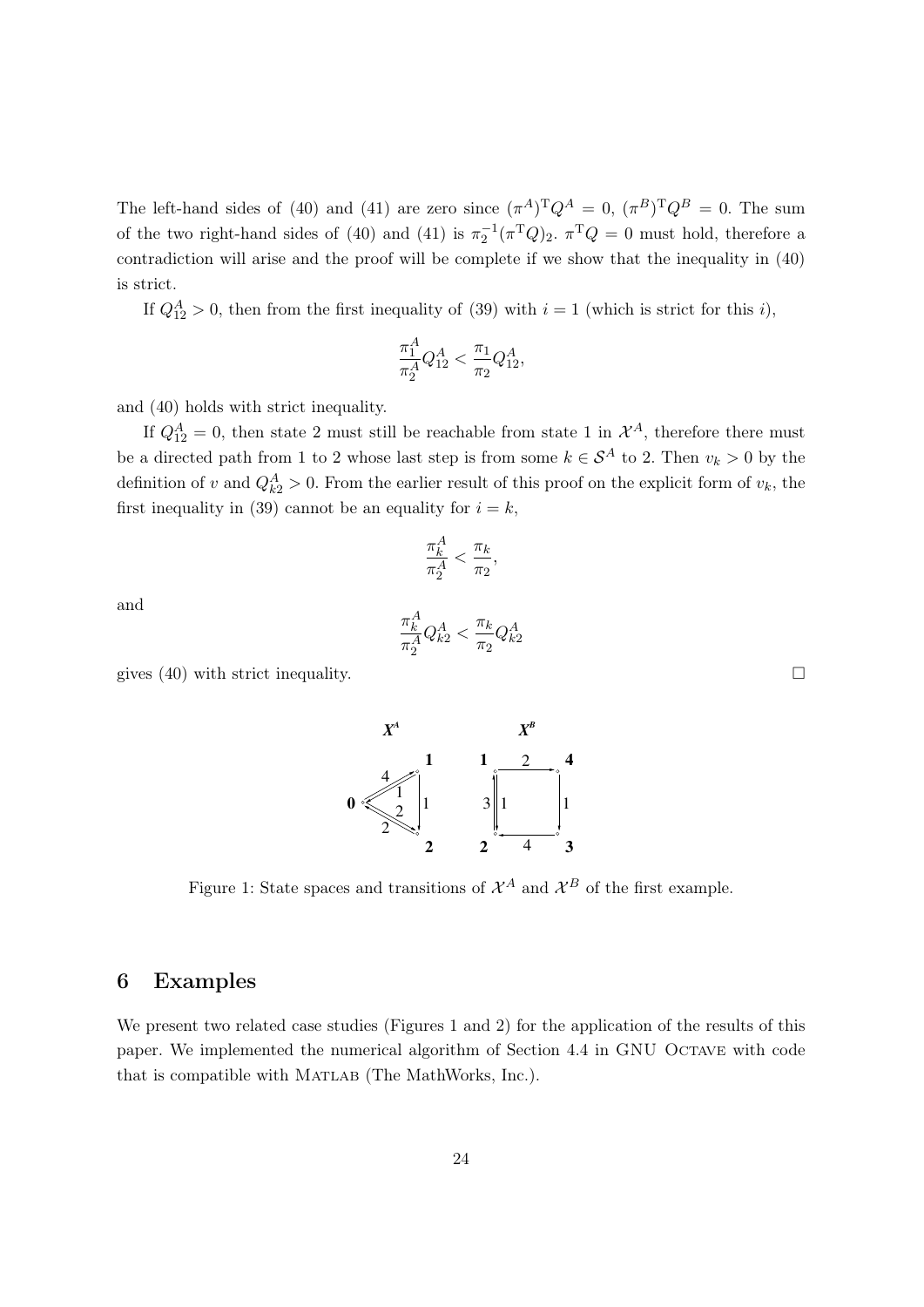The left-hand sides of (40) and (41) are zero since  $(\pi^A)^T Q^A = 0$ ,  $(\pi^B)^T Q^B = 0$ . The sum of the two right-hand sides of (40) and (41) is  $\pi_2^{-1}(\pi^T Q)_2$ .  $\pi^T Q = 0$  must hold, therefore a contradiction will arise and the proof will be complete if we show that the inequality in (40) is strict.

If  $Q_{12}^A > 0$ , then from the first inequality of (39) with  $i = 1$  (which is strict for this i),

$$
\frac{\pi_1^A}{\pi_2^A} Q_{12}^A < \frac{\pi_1}{\pi_2} Q_{12}^A,
$$

and (40) holds with strict inequality.

If  $Q_{12}^A = 0$ , then state 2 must still be reachable from state 1 in  $\mathcal{X}^A$ , therefore there must be a directed path from 1 to 2 whose last step is from some  $k \in S^A$  to 2. Then  $v_k > 0$  by the definition of v and  $Q_{k2}^A > 0$ . From the earlier result of this proof on the explicit form of  $v_k$ , the first inequality in (39) cannot be an equality for  $i = k$ ,

$$
\frac{\pi_k^A}{\pi_2^A} < \frac{\pi_k}{\pi_2},
$$

and

$$
\frac{\pi_k^A}{\pi_2^A} Q_{k2}^A < \frac{\pi_k}{\pi_2} Q_{k2}^A
$$

gives (40) with strict inequality.  $\square$ 



### 6 Examples

We present two related case studies (Figures 1 and 2) for the application of the results of this paper. We implemented the numerical algorithm of Section 4.4 in GNU Octave with code that is compatible with MATLAB (The MathWorks, Inc.).

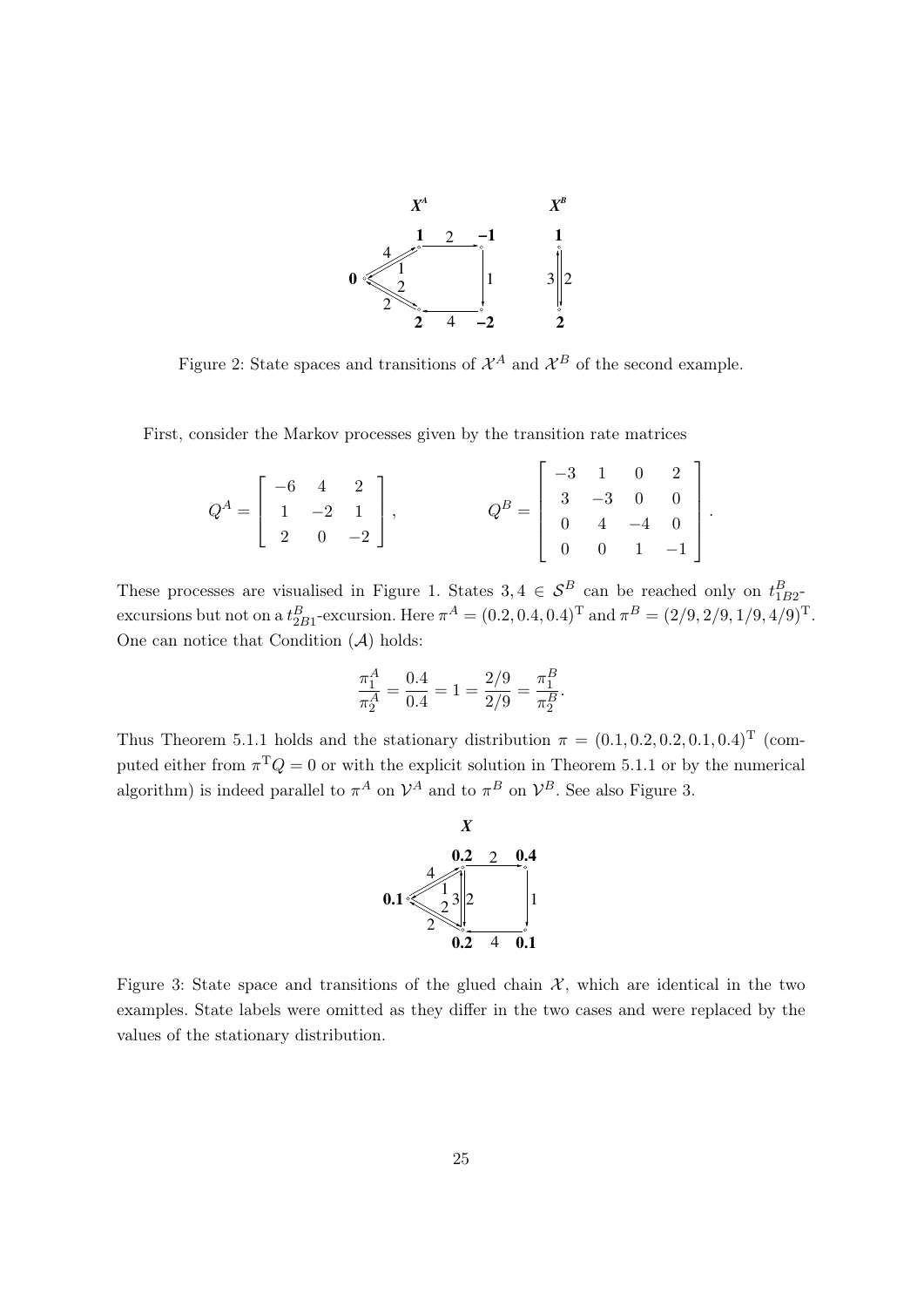

Figure 2: State spaces and transitions of  $\mathcal{X}^A$  and  $\mathcal{X}^B$  of the second example.

First, consider the Markov processes given by the transition rate matrices

$$
Q^{A} = \begin{bmatrix} -6 & 4 & 2 \\ 1 & -2 & 1 \\ 2 & 0 & -2 \end{bmatrix}, \qquad Q^{B} = \begin{bmatrix} -3 & 1 & 0 & 2 \\ 3 & -3 & 0 & 0 \\ 0 & 4 & -4 & 0 \\ 0 & 0 & 1 & -1 \end{bmatrix}
$$

.

These processes are visualised in Figure 1. States  $3, 4 \in S^B$  can be reached only on  $t_{1B2}^B$ excursions but not on a  $t_{2B1}^B$ -excursion. Here  $\pi^A = (0.2, 0.4, 0.4)^T$  and  $\pi^B = (2/9, 2/9, 1/9, 4/9)^T$ . One can notice that Condition  $(A)$  holds:

$$
\frac{\pi_1^A}{\pi_2^A} = \frac{0.4}{0.4} = 1 = \frac{2/9}{2/9} = \frac{\pi_1^B}{\pi_2^B}.
$$

Thus Theorem 5.1.1 holds and the stationary distribution  $\pi = (0.1, 0.2, 0.2, 0.1, 0.4)^T$  (computed either from  $\pi^T Q = 0$  or with the explicit solution in Theorem 5.1.1 or by the numerical algorithm) is indeed parallel to  $\pi^A$  on  $\mathcal{V}^A$  and to  $\pi^B$  on  $\mathcal{V}^B$ . See also Figure 3.



Figure 3: State space and transitions of the glued chain  $\mathcal{X}$ , which are identical in the two examples. State labels were omitted as they differ in the two cases and were replaced by the values of the stationary distribution.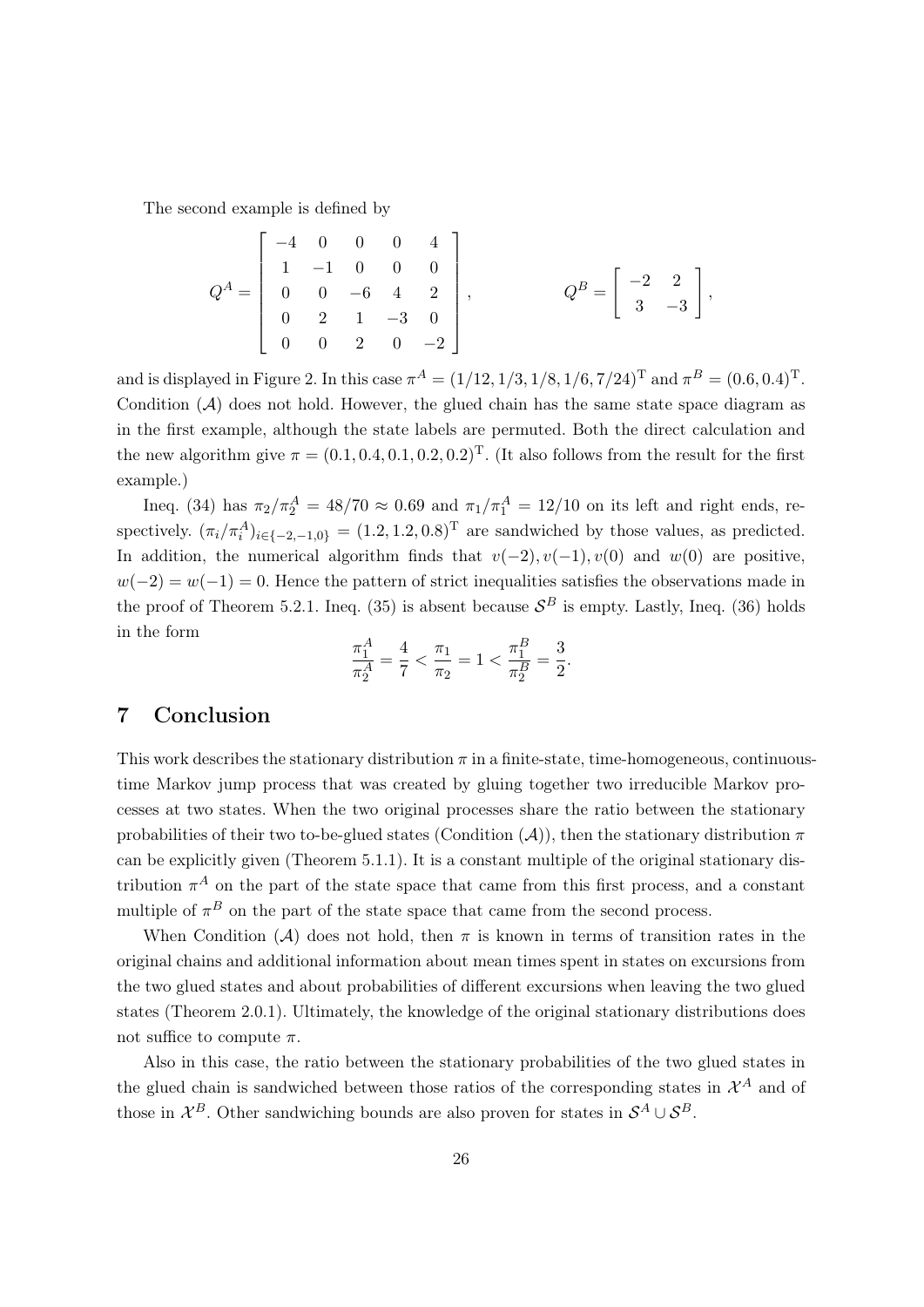The second example is defined by

$$
Q^{A} = \begin{bmatrix} -4 & 0 & 0 & 0 & 4 \\ 1 & -1 & 0 & 0 & 0 \\ 0 & 0 & -6 & 4 & 2 \\ 0 & 2 & 1 & -3 & 0 \\ 0 & 0 & 2 & 0 & -2 \end{bmatrix}, \qquad Q^{B} = \begin{bmatrix} -2 & 2 \\ 3 & -3 \end{bmatrix},
$$

and is displayed in Figure 2. In this case  $\pi^{A} = (1/12, 1/3, 1/8, 1/6, 7/24)^{T}$  and  $\pi^{B} = (0.6, 0.4)^{T}$ . Condition  $(A)$  does not hold. However, the glued chain has the same state space diagram as in the first example, although the state labels are permuted. Both the direct calculation and the new algorithm give  $\pi = (0.1, 0.4, 0.1, 0.2, 0.2)^T$ . (It also follows from the result for the first example.)

Ineq. (34) has  $\pi_2/\pi_2^A = 48/70 \approx 0.69$  and  $\pi_1/\pi_1^A = 12/10$  on its left and right ends, respectively.  $(\pi_i/\pi_i^A)_{i \in \{-2,-1,0\}} = (1.2, 1.2, 0.8)^T$  are sandwiched by those values, as predicted. In addition, the numerical algorithm finds that  $v(-2)$ ,  $v(-1)$ ,  $v(0)$  and  $w(0)$  are positive,  $w(-2) = w(-1) = 0$ . Hence the pattern of strict inequalities satisfies the observations made in the proof of Theorem 5.2.1. Ineq. (35) is absent because  $\mathcal{S}^B$  is empty. Lastly, Ineq. (36) holds in the form

$$
\frac{\pi_1^A}{\pi_2^A} = \frac{4}{7} < \frac{\pi_1}{\pi_2} = 1 < \frac{\pi_1^B}{\pi_2^B} = \frac{3}{2}.
$$

# 7 Conclusion

This work describes the stationary distribution  $\pi$  in a finite-state, time-homogeneous, continuoustime Markov jump process that was created by gluing together two irreducible Markov processes at two states. When the two original processes share the ratio between the stationary probabilities of their two to-be-glued states (Condition  $(A)$ ), then the stationary distribution  $\pi$ can be explicitly given (Theorem 5.1.1). It is a constant multiple of the original stationary distribution  $\pi^{A}$  on the part of the state space that came from this first process, and a constant multiple of  $\pi^B$  on the part of the state space that came from the second process.

When Condition (A) does not hold, then  $\pi$  is known in terms of transition rates in the original chains and additional information about mean times spent in states on excursions from the two glued states and about probabilities of different excursions when leaving the two glued states (Theorem 2.0.1). Ultimately, the knowledge of the original stationary distributions does not suffice to compute  $\pi$ .

Also in this case, the ratio between the stationary probabilities of the two glued states in the glued chain is sandwiched between those ratios of the corresponding states in  $\mathcal{X}^A$  and of those in  $\mathcal{X}^B$ . Other sandwiching bounds are also proven for states in  $\mathcal{S}^A \cup \mathcal{S}^B$ .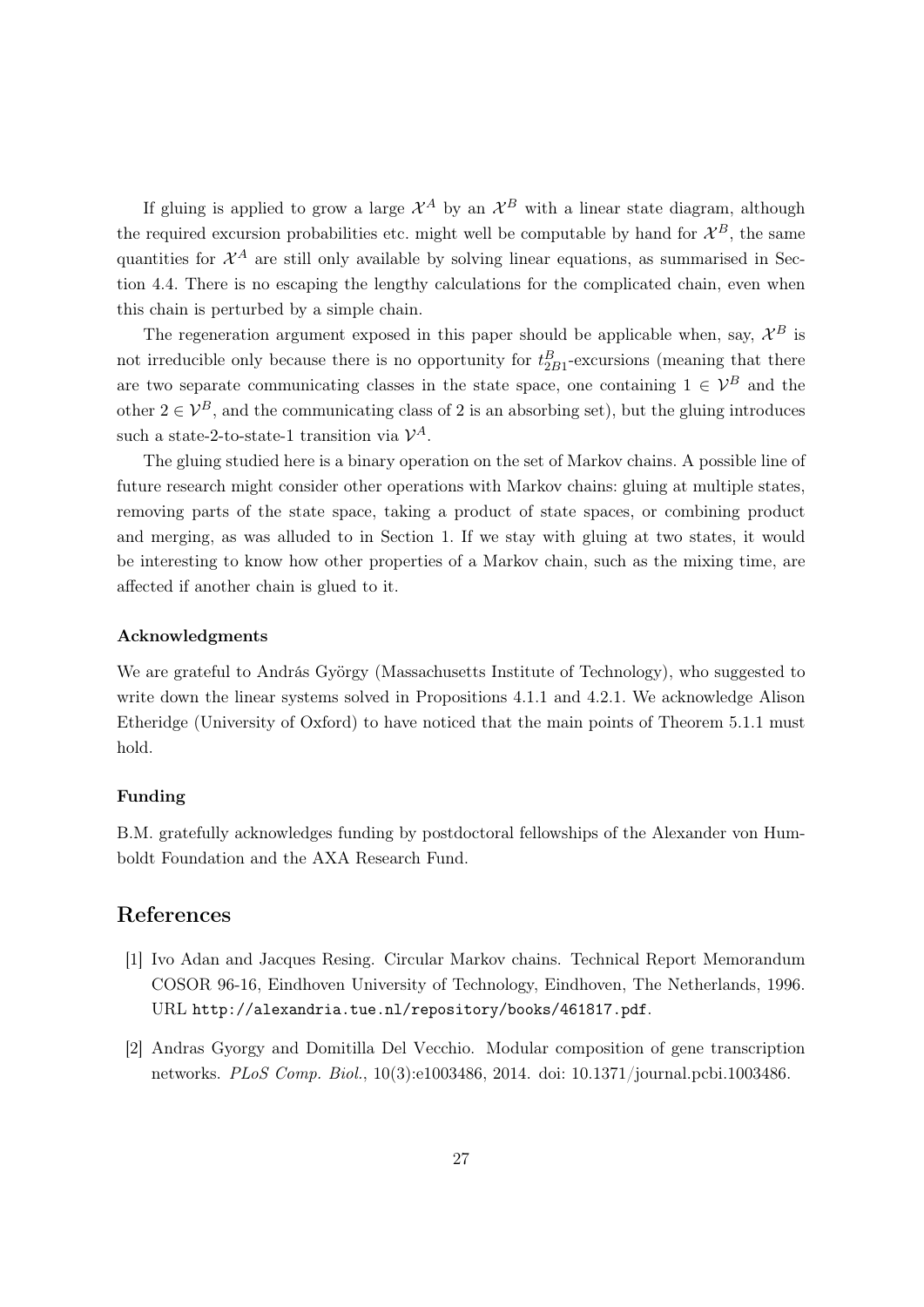If gluing is applied to grow a large  $\mathcal{X}^A$  by an  $\mathcal{X}^B$  with a linear state diagram, although the required excursion probabilities etc. might well be computable by hand for  $\mathcal{X}^B$ , the same quantities for  $\mathcal{X}^A$  are still only available by solving linear equations, as summarised in Section 4.4. There is no escaping the lengthy calculations for the complicated chain, even when this chain is perturbed by a simple chain.

The regeneration argument exposed in this paper should be applicable when, say,  $\mathcal{X}^B$  is not irreducible only because there is no opportunity for  $t_{2B1}^B$ -excursions (meaning that there are two separate communicating classes in the state space, one containing  $1 \in \mathcal{V}^B$  and the other  $2 \in \mathcal{V}^B$ , and the communicating class of 2 is an absorbing set), but the gluing introduces such a state-2-to-state-1 transition via  $\mathcal{V}^A$ .

The gluing studied here is a binary operation on the set of Markov chains. A possible line of future research might consider other operations with Markov chains: gluing at multiple states, removing parts of the state space, taking a product of state spaces, or combining product and merging, as was alluded to in Section 1. If we stay with gluing at two states, it would be interesting to know how other properties of a Markov chain, such as the mixing time, are affected if another chain is glued to it.

### Acknowledgments

We are grateful to András György (Massachusetts Institute of Technology), who suggested to write down the linear systems solved in Propositions 4.1.1 and 4.2.1. We acknowledge Alison Etheridge (University of Oxford) to have noticed that the main points of Theorem 5.1.1 must hold.

#### Funding

B.M. gratefully acknowledges funding by postdoctoral fellowships of the Alexander von Humboldt Foundation and the AXA Research Fund.

# References

- [1] Ivo Adan and Jacques Resing. Circular Markov chains. Technical Report Memorandum COSOR 96-16, Eindhoven University of Technology, Eindhoven, The Netherlands, 1996. URL http://alexandria.tue.nl/repository/books/461817.pdf.
- [2] Andras Gyorgy and Domitilla Del Vecchio. Modular composition of gene transcription networks. PLoS Comp. Biol., 10(3):e1003486, 2014. doi: 10.1371/journal.pcbi.1003486.